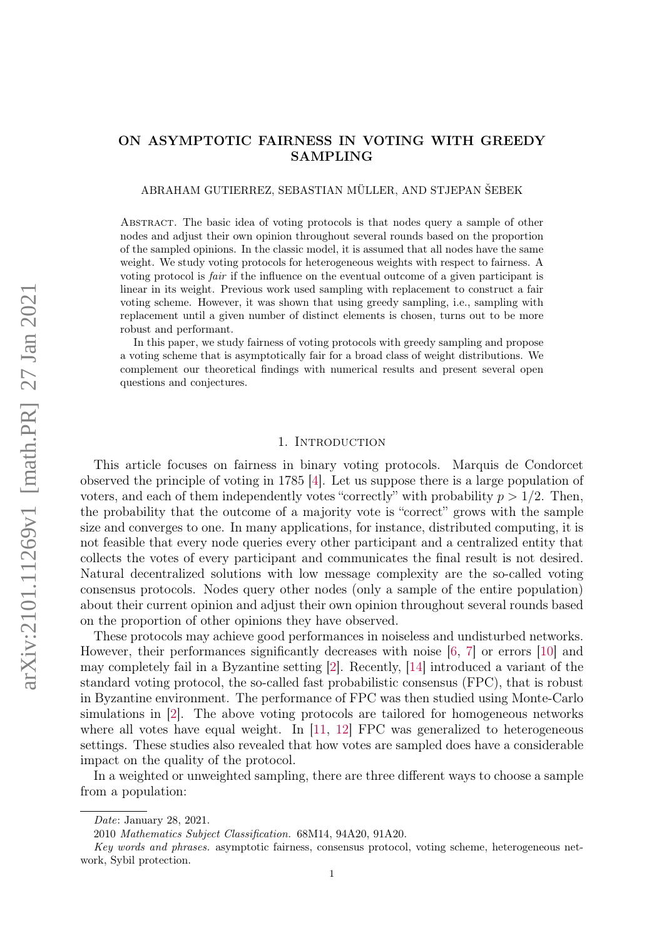# ON ASYMPTOTIC FAIRNESS IN VOTING WITH GREEDY SAMPLING

ABRAHAM GUTIERREZ, SEBASTIAN MÜLLER, AND STJEPAN ŠEBEK

Abstract. The basic idea of voting protocols is that nodes query a sample of other nodes and adjust their own opinion throughout several rounds based on the proportion of the sampled opinions. In the classic model, it is assumed that all nodes have the same weight. We study voting protocols for heterogeneous weights with respect to fairness. A voting protocol is fair if the influence on the eventual outcome of a given participant is linear in its weight. Previous work used sampling with replacement to construct a fair voting scheme. However, it was shown that using greedy sampling, i.e., sampling with replacement until a given number of distinct elements is chosen, turns out to be more robust and performant.

In this paper, we study fairness of voting protocols with greedy sampling and propose a voting scheme that is asymptotically fair for a broad class of weight distributions. We complement our theoretical findings with numerical results and present several open questions and conjectures.

#### 1. INTRODUCTION

This article focuses on fairness in binary voting protocols. Marquis de Condorcet observed the principle of voting in 1785 [\[4\]](#page-30-0). Let us suppose there is a large population of voters, and each of them independently votes "correctly" with probability  $p > 1/2$ . Then, the probability that the outcome of a majority vote is "correct" grows with the sample size and converges to one. In many applications, for instance, distributed computing, it is not feasible that every node queries every other participant and a centralized entity that collects the votes of every participant and communicates the final result is not desired. Natural decentralized solutions with low message complexity are the so-called voting consensus protocols. Nodes query other nodes (only a sample of the entire population) about their current opinion and adjust their own opinion throughout several rounds based on the proportion of other opinions they have observed.

These protocols may achieve good performances in noiseless and undisturbed networks. However, their performances significantly decreases with noise [\[6,](#page-30-1) [7\]](#page-30-2) or errors [\[10\]](#page-30-3) and may completely fail in a Byzantine setting [\[2\]](#page-30-4). Recently, [\[14\]](#page-30-5) introduced a variant of the standard voting protocol, the so-called fast probabilistic consensus (FPC), that is robust in Byzantine environment. The performance of FPC was then studied using Monte-Carlo simulations in [\[2\]](#page-30-4). The above voting protocols are tailored for homogeneous networks where all votes have equal weight. In [\[11,](#page-30-6) [12\]](#page-30-7) FPC was generalized to heterogeneous settings. These studies also revealed that how votes are sampled does have a considerable impact on the quality of the protocol.

In a weighted or unweighted sampling, there are three different ways to choose a sample from a population:

Date: January 28, 2021.

<sup>2010</sup> Mathematics Subject Classification. 68M14, 94A20, 91A20.

Key words and phrases. asymptotic fairness, consensus protocol, voting scheme, heterogeneous network, Sybil protection.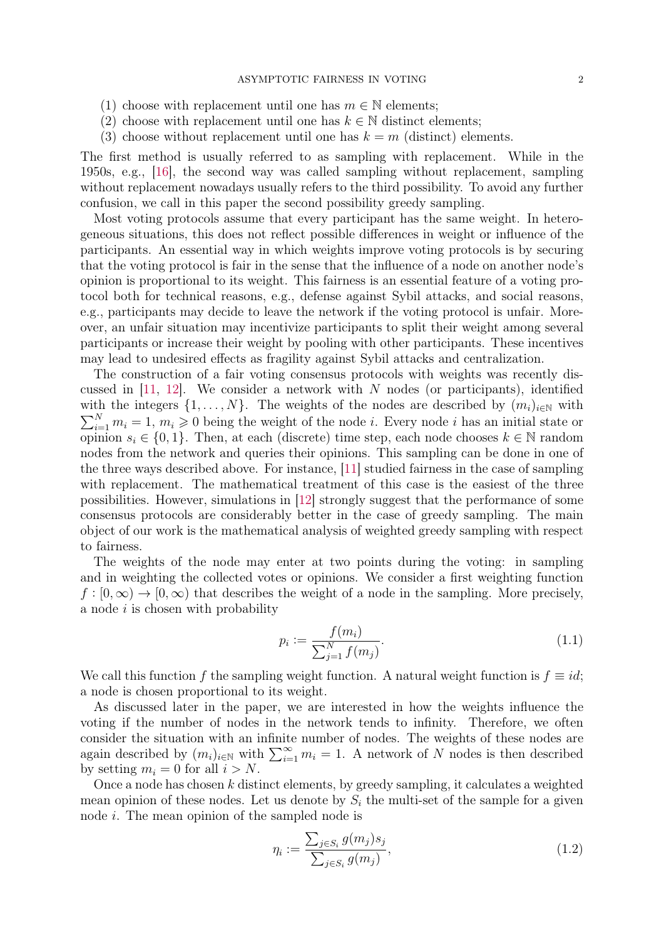- (1) choose with replacement until one has  $m \in \mathbb{N}$  elements;
- (2) choose with replacement until one has  $k \in \mathbb{N}$  distinct elements;
- (3) choose without replacement until one has  $k = m$  (distinct) elements.

The first method is usually referred to as sampling with replacement. While in the 1950s, e.g., [\[16\]](#page-30-8), the second way was called sampling without replacement, sampling without replacement nowadays usually refers to the third possibility. To avoid any further confusion, we call in this paper the second possibility greedy sampling.

Most voting protocols assume that every participant has the same weight. In heterogeneous situations, this does not reflect possible differences in weight or influence of the participants. An essential way in which weights improve voting protocols is by securing that the voting protocol is fair in the sense that the influence of a node on another node's opinion is proportional to its weight. This fairness is an essential feature of a voting protocol both for technical reasons, e.g., defense against Sybil attacks, and social reasons, e.g., participants may decide to leave the network if the voting protocol is unfair. Moreover, an unfair situation may incentivize participants to split their weight among several participants or increase their weight by pooling with other participants. These incentives may lead to undesired effects as fragility against Sybil attacks and centralization.

The construction of a fair voting consensus protocols with weights was recently discussed in  $[11, 12]$  $[11, 12]$  $[11, 12]$ . We consider a network with N nodes (or participants), identified with the integers  $\{1, \ldots, N\}$ . The weights of the nodes are described by  $(m_i)_{i \in \mathbb{N}}$  with  $\sum_{i=1}^{N} m_i = 1, m_i \geq 0$  being the weight of the node *i*. Every node *i* has an initial state or opinion  $s_i \in \{0,1\}$ . Then, at each (discrete) time step, each node chooses  $k \in \mathbb{N}$  random nodes from the network and queries their opinions. This sampling can be done in one of the three ways described above. For instance, [\[11\]](#page-30-6) studied fairness in the case of sampling with replacement. The mathematical treatment of this case is the easiest of the three possibilities. However, simulations in [\[12\]](#page-30-7) strongly suggest that the performance of some consensus protocols are considerably better in the case of greedy sampling. The main object of our work is the mathematical analysis of weighted greedy sampling with respect to fairness.

The weights of the node may enter at two points during the voting: in sampling and in weighting the collected votes or opinions. We consider a first weighting function  $f : [0, \infty) \to [0, \infty)$  that describes the weight of a node in the sampling. More precisely, a node  $i$  is chosen with probability

<span id="page-1-1"></span>
$$
p_i := \frac{f(m_i)}{\sum_{j=1}^{N} f(m_j)}.\tag{1.1}
$$

We call this function f the sampling weight function. A natural weight function is  $f \equiv id$ ; a node is chosen proportional to its weight.

As discussed later in the paper, we are interested in how the weights influence the voting if the number of nodes in the network tends to infinity. Therefore, we often consider the situation with an infinite number of nodes. The weights of these nodes are again described by  $(m_i)_{i\in\mathbb{N}}$  with  $\sum_{i=1}^{\infty} m_i = 1$ . A network of N nodes is then described by setting  $m_i = 0$  for all  $i > N$ .

Once a node has chosen  $k$  distinct elements, by greedy sampling, it calculates a weighted mean opinion of these nodes. Let us denote by  $S_i$  the multi-set of the sample for a given node i. The mean opinion of the sampled node is

<span id="page-1-0"></span>
$$
\eta_i := \frac{\sum_{j \in S_i} g(m_j) s_j}{\sum_{j \in S_i} g(m_j)},\tag{1.2}
$$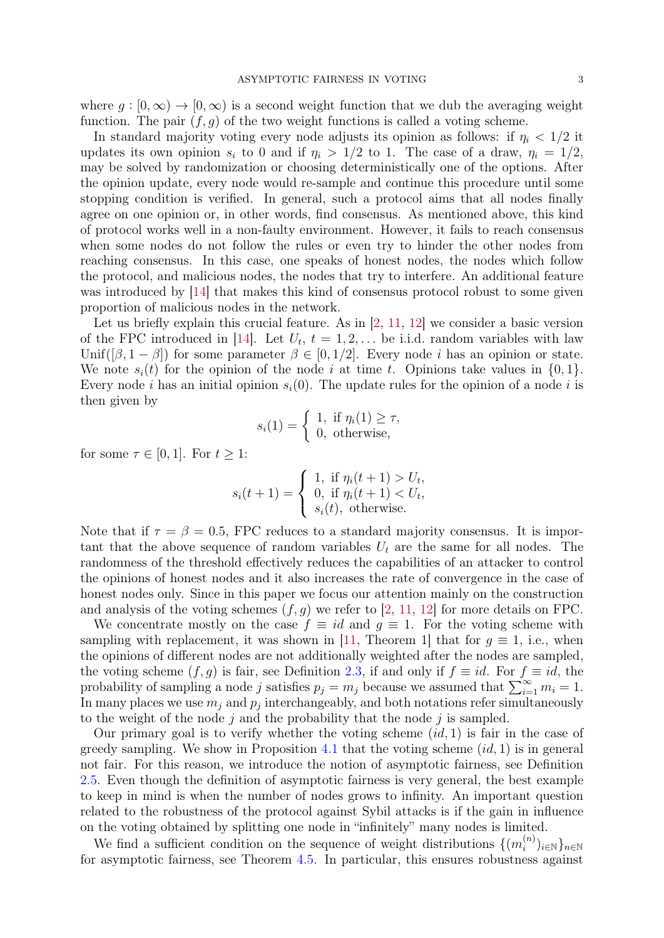where  $q : [0, \infty) \to [0, \infty)$  is a second weight function that we dub the averaging weight function. The pair  $(f, q)$  of the two weight functions is called a voting scheme.

In standard majority voting every node adjusts its opinion as follows: if  $\eta_i < 1/2$  it updates its own opinion  $s_i$  to 0 and if  $\eta_i > 1/2$  to 1. The case of a draw,  $\eta_i = 1/2$ , may be solved by randomization or choosing deterministically one of the options. After the opinion update, every node would re-sample and continue this procedure until some stopping condition is verified. In general, such a protocol aims that all nodes finally agree on one opinion or, in other words, find consensus. As mentioned above, this kind of protocol works well in a non-faulty environment. However, it fails to reach consensus when some nodes do not follow the rules or even try to hinder the other nodes from reaching consensus. In this case, one speaks of honest nodes, the nodes which follow the protocol, and malicious nodes, the nodes that try to interfere. An additional feature was introduced by [\[14\]](#page-30-5) that makes this kind of consensus protocol robust to some given proportion of malicious nodes in the network.

Let us briefly explain this crucial feature. As in [\[2,](#page-30-4) [11,](#page-30-6) [12\]](#page-30-7) we consider a basic version of the FPC introduced in [\[14\]](#page-30-5). Let  $U_t$ ,  $t = 1, 2, \ldots$  be i.i.d. random variables with law Unif( $[\beta, 1 - \beta]$ ) for some parameter  $\beta \in [0, 1/2]$ . Every node *i* has an opinion or state. We note  $s_i(t)$  for the opinion of the node i at time t. Opinions take values in  $\{0, 1\}$ . Every node i has an initial opinion  $s_i(0)$ . The update rules for the opinion of a node i is then given by

$$
s_i(1) = \begin{cases} 1, & \text{if } \eta_i(1) \ge \tau, \\ 0, & \text{otherwise,} \end{cases}
$$

for some  $\tau \in [0,1]$ . For  $t \geq 1$ :

$$
s_i(t+1) = \begin{cases} 1, & \text{if } \eta_i(t+1) > U_t, \\ 0, & \text{if } \eta_i(t+1) < U_t, \\ s_i(t), & \text{otherwise.} \end{cases}
$$

Note that if  $\tau = \beta = 0.5$ , FPC reduces to a standard majority consensus. It is important that the above sequence of random variables  $U_t$  are the same for all nodes. The randomness of the threshold effectively reduces the capabilities of an attacker to control the opinions of honest nodes and it also increases the rate of convergence in the case of honest nodes only. Since in this paper we focus our attention mainly on the construction and analysis of the voting schemes  $(f, g)$  we refer to [\[2,](#page-30-4) [11,](#page-30-6) [12\]](#page-30-7) for more details on FPC.

We concentrate mostly on the case  $f \equiv id$  and  $g \equiv 1$ . For the voting scheme with sampling with replacement, it was shown in [\[11,](#page-30-6) Theorem 1] that for  $q \equiv 1$ , i.e., when the opinions of different nodes are not additionally weighted after the nodes are sampled, the voting scheme  $(f, g)$  is fair, see Definition [2.3,](#page-5-0) if and only if  $f \equiv id$ . For  $f \equiv id$ , the probability of sampling a node j satisfies  $p_j = m_j$  because we assumed that  $\sum_{i=1}^{\infty} m_i = 1$ . In many places we use  $m_j$  and  $p_j$  interchangeably, and both notations refer simultaneously to the weight of the node j and the probability that the node j is sampled.

Our primary goal is to verify whether the voting scheme  $(id, 1)$  is fair in the case of greedy sampling. We show in Proposition [4.1](#page-15-0) that the voting scheme  $(id, 1)$  is in general not fair. For this reason, we introduce the notion of asymptotic fairness, see Definition [2.5.](#page-6-0) Even though the definition of asymptotic fairness is very general, the best example to keep in mind is when the number of nodes grows to infinity. An important question related to the robustness of the protocol against Sybil attacks is if the gain in influence on the voting obtained by splitting one node in "infinitely" many nodes is limited.

We find a sufficient condition on the sequence of weight distributions  $\{(m_i^{(n)}\})$  $\{i^{(n)}\}_{i\in\mathbb{N}}\}_{n\in\mathbb{N}}$ for asymptotic fairness, see Theorem [4.5.](#page-19-0) In particular, this ensures robustness against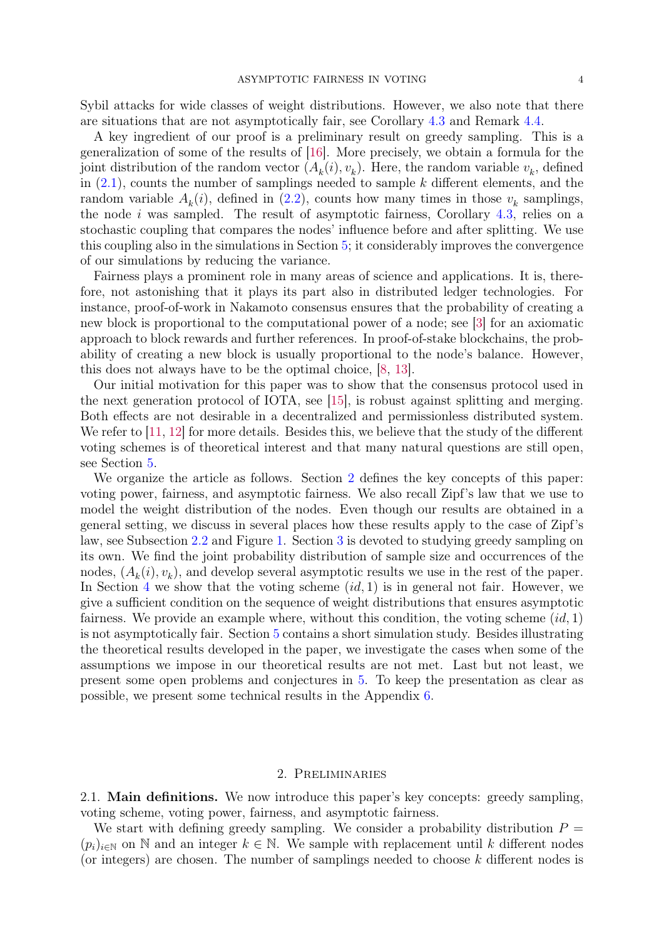Sybil attacks for wide classes of weight distributions. However, we also note that there are situations that are not asymptotically fair, see Corollary [4.3](#page-18-0) and Remark [4.4.](#page-19-1)

A key ingredient of our proof is a preliminary result on greedy sampling. This is a generalization of some of the results of [\[16\]](#page-30-8). More precisely, we obtain a formula for the joint distribution of the random vector  $(A_k(i), v_k)$ . Here, the random variable  $v_k$ , defined in  $(2.1)$ , counts the number of samplings needed to sample k different elements, and the random variable  $A_k(i)$ , defined in  $(2.2)$ , counts how many times in those  $v_k$  samplings, the node i was sampled. The result of asymptotic fairness, Corollary  $4.3$ , relies on a stochastic coupling that compares the nodes' influence before and after splitting. We use this coupling also in the simulations in Section [5;](#page-21-0) it considerably improves the convergence of our simulations by reducing the variance.

Fairness plays a prominent role in many areas of science and applications. It is, therefore, not astonishing that it plays its part also in distributed ledger technologies. For instance, proof-of-work in Nakamoto consensus ensures that the probability of creating a new block is proportional to the computational power of a node; see [\[3\]](#page-30-9) for an axiomatic approach to block rewards and further references. In proof-of-stake blockchains, the probability of creating a new block is usually proportional to the node's balance. However, this does not always have to be the optimal choice, [\[8,](#page-30-10) [13\]](#page-30-11).

Our initial motivation for this paper was to show that the consensus protocol used in the next generation protocol of IOTA, see [\[15\]](#page-30-12), is robust against splitting and merging. Both effects are not desirable in a decentralized and permissionless distributed system. We refer to [\[11,](#page-30-6) [12\]](#page-30-7) for more details. Besides this, we believe that the study of the different voting schemes is of theoretical interest and that many natural questions are still open, see Section [5.](#page-21-0)

We organize the article as follows. Section [2](#page-3-0) defines the key concepts of this paper: voting power, fairness, and asymptotic fairness. We also recall Zipf's law that we use to model the weight distribution of the nodes. Even though our results are obtained in a general setting, we discuss in several places how these results apply to the case of Zipf's law, see Subsection [2.2](#page-6-1) and Figure [1.](#page-7-0) Section [3](#page-7-1) is devoted to studying greedy sampling on its own. We find the joint probability distribution of sample size and occurrences of the nodes,  $(A_k(i), v_k)$ , and develop several asymptotic results we use in the rest of the paper. In Section [4](#page-15-1) we show that the voting scheme  $(id, 1)$  is in general not fair. However, we give a sufficient condition on the sequence of weight distributions that ensures asymptotic fairness. We provide an example where, without this condition, the voting scheme  $(id, 1)$ is not asymptotically fair. Section [5](#page-21-0) contains a short simulation study. Besides illustrating the theoretical results developed in the paper, we investigate the cases when some of the assumptions we impose in our theoretical results are not met. Last but not least, we present some open problems and conjectures in [5.](#page-21-0) To keep the presentation as clear as possible, we present some technical results in the Appendix [6.](#page-27-0)

### 2. Preliminaries

<span id="page-3-0"></span>2.1. Main definitions. We now introduce this paper's key concepts: greedy sampling, voting scheme, voting power, fairness, and asymptotic fairness.

We start with defining greedy sampling. We consider a probability distribution  $P =$  $(p_i)_{i\in\mathbb{N}}$  on N and an integer  $k\in\mathbb{N}$ . We sample with replacement until k different nodes (or integers) are chosen. The number of samplings needed to choose  $k$  different nodes is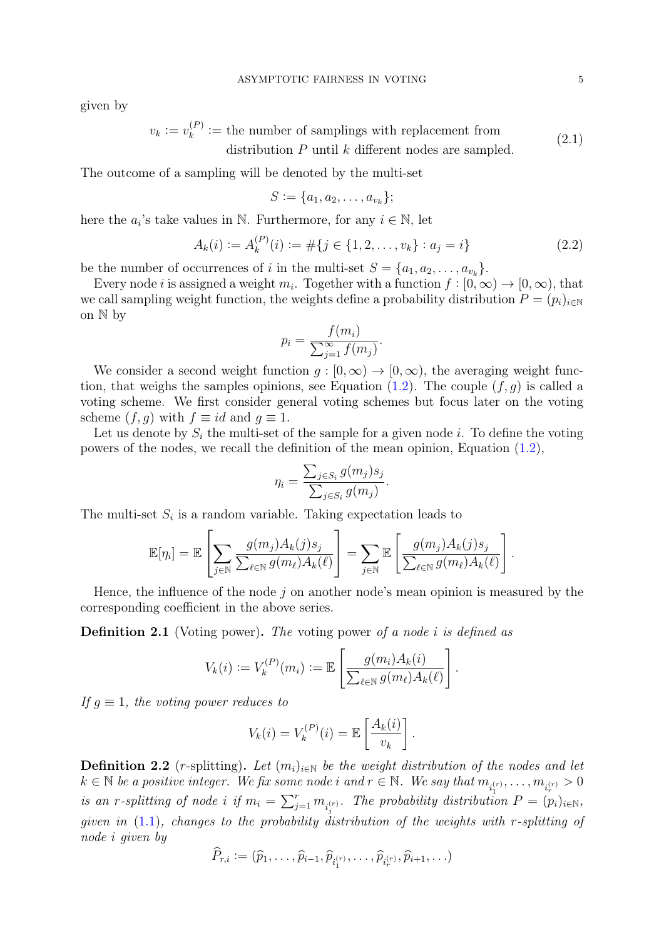given by

$$
v_k := v_k^{(P)} :=
$$
 the number of samplings with replacement from  
distribution P until k different nodes are sampled. (2.1)

The outcome of a sampling will be denoted by the multi-set

<span id="page-4-0"></span>
$$
S := \{a_1, a_2, \dots, a_{v_k}\};
$$

here the  $a_i$ 's take values in N. Furthermore, for any  $i \in \mathbb{N}$ , let

<span id="page-4-1"></span>
$$
A_k(i) := A_k^{(P)}(i) := \# \{ j \in \{ 1, 2, \dots, v_k \} : a_j = i \}
$$
\n
$$
(2.2)
$$

be the number of occurrences of *i* in the multi-set  $S = \{a_1, a_2, \ldots, a_{v_k}\}.$ 

Every node *i* is assigned a weight  $m_i$ . Together with a function  $f : [0, \infty) \to [0, \infty)$ , that we call sampling weight function, the weights define a probability distribution  $P = (p_i)_{i \in \mathbb{N}}$ on N by

$$
p_i = \frac{f(m_i)}{\sum_{j=1}^{\infty} f(m_j)}.
$$

We consider a second weight function  $g : [0, \infty) \to [0, \infty)$ , the averaging weight function, that weighs the samples opinions, see Equation  $(1.2)$ . The couple  $(f, g)$  is called a voting scheme. We first consider general voting schemes but focus later on the voting scheme  $(f, g)$  with  $f \equiv id$  and  $g \equiv 1$ .

Let us denote by  $S_i$  the multi-set of the sample for a given node i. To define the voting powers of the nodes, we recall the definition of the mean opinion, Equation [\(1.2\)](#page-1-0),

$$
\eta_i = \frac{\sum_{j \in S_i} g(m_j) s_j}{\sum_{j \in S_i} g(m_j)}.
$$

The multi-set  $S_i$  is a random variable. Taking expectation leads to

$$
\mathbb{E}[\eta_i] = \mathbb{E}\left[\sum_{j\in\mathbb{N}}\frac{g(m_j)A_k(j)s_j}{\sum_{\ell\in\mathbb{N}}g(m_\ell)A_k(\ell)}\right] = \sum_{j\in\mathbb{N}}\mathbb{E}\left[\frac{g(m_j)A_k(j)s_j}{\sum_{\ell\in\mathbb{N}}g(m_\ell)A_k(\ell)}\right].
$$

Hence, the influence of the node  $j$  on another node's mean opinion is measured by the corresponding coefficient in the above series.

Definition 2.1 (Voting power). The voting power of a node i is defined as

$$
V_k(i) := V_k^{(P)}(m_i) := \mathbb{E}\left[\frac{g(m_i)A_k(i)}{\sum_{\ell \in \mathbb{N}} g(m_\ell)A_k(\ell)}\right].
$$

If  $q \equiv 1$ , the voting power reduces to

$$
V_k(i) = V_k^{(P)}(i) = \mathbb{E}\left[\frac{A_k(i)}{v_k}\right].
$$

**Definition 2.2** (r-splitting). Let  $(m_i)_{i\in\mathbb{N}}$  be the weight distribution of the nodes and let  $k \in \mathbb{N}$  be a positive integer. We fix some node i and  $r \in \mathbb{N}$ . We say that  $m_{i_1^{(r)}}, \ldots, m_{i_r^{(r)}} > 0$ is an r-splitting of node i if  $m_i = \sum_{j=1}^r m_{i_j^{(r)}}$ . The probability distribution  $P = (p_i)_{i \in \mathbb{N}}$ , given in  $(1.1)$ , changes to the probability distribution of the weights with r-splitting of node i given by

$$
\widehat{P}_{r,i} := (\widehat{p}_1, \ldots, \widehat{p}_{i-1}, \widehat{p}_{i_1^{(r)}}, \ldots, \widehat{p}_{i_r^{(r)}}, \widehat{p}_{i+1}, \ldots)
$$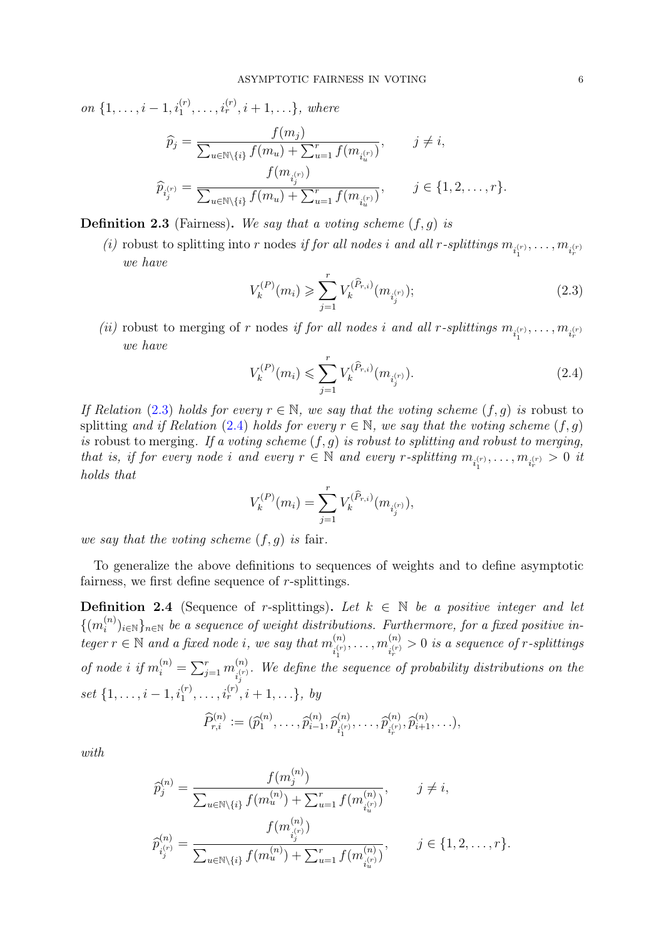on  $\{1, \ldots, i-1, i_1^{(r)}, \ldots, i_r^{(r)}, i+1, \ldots\}$ , where

$$
\widehat{p}_j = \frac{f(m_j)}{\sum_{u \in \mathbb{N} \setminus \{i\}} f(m_u) + \sum_{u=1}^r f(m_{i_u^{(r)}})}, \qquad j \neq i,
$$
\n
$$
\widehat{p}_{i_j^{(r)}} = \frac{f(m_{i_j^{(r)}})}{\sum_{u \in \mathbb{N} \setminus \{i\}} f(m_u) + \sum_{u=1}^r f(m_{i_u^{(r)}})}, \qquad j \in \{1, 2, \dots, r\}.
$$

<span id="page-5-0"></span>**Definition 2.3** (Fairness). We say that a voting scheme  $(f, g)$  is

(*i*) robust to splitting into *r* nodes *if for all nodes i and all r-splittings*  $m_{i_1^{(r)}}, \ldots, m_{i_r^{(r)}}$ we have

<span id="page-5-1"></span>
$$
V_k^{(P)}(m_i) \geqslant \sum_{j=1}^r V_k^{(\hat{P}_{r,i})}(m_{i_j^{(r)}}); \tag{2.3}
$$

(*ii*) robust to merging of r nodes *if for all nodes i and all r-splittings*  $m_{i_1^{(r)}}, \ldots, m_{i_r^{(r)}}$ we have

<span id="page-5-2"></span>
$$
V_k^{(P)}(m_i) \leqslant \sum_{j=1}^r V_k^{(\hat{P}_{r,i})}(m_{i_j^{(r)}}). \tag{2.4}
$$

If Relation [\(2.3\)](#page-5-1) holds for every  $r \in \mathbb{N}$ , we say that the voting scheme  $(f, q)$  is robust to splitting and if Relation [\(2.4\)](#page-5-2) holds for every  $r \in \mathbb{N}$ , we say that the voting scheme  $(f, q)$ is robust to merging. If a voting scheme  $(f, g)$  is robust to splitting and robust to merging, that is, if for every node i and every  $r \in \mathbb{N}$  and every r-splitting  $m_{i_1^{(r)}}, \ldots, m_{i_r^{(r)}} > 0$  it holds that

$$
V_k^{(P)}(m_i) = \sum_{j=1}^r V_k^{(\widehat{P}_{r,i})}(m_{i_j^{(r)}}),
$$

we say that the voting scheme  $(f, g)$  is fair.

To generalize the above definitions to sequences of weights and to define asymptotic fairness, we first define sequence of r-splittings.

**Definition 2.4** (Sequence of r-splittings). Let  $k \in \mathbb{N}$  be a positive integer and let  $\{(m_i^{(n)}\)}$  $\{S^{(n)}_{i}\}_{n\in\mathbb{N}}$  be a sequence of weight distributions. Furthermore, for a fixed positive integer  $r \in \mathbb{N}$  and a fixed node i, we say that  $m^{(n)}_{(r)}$  $\hat{m}^{(n)}_{i_1^{(r)}},\ldots, \hat{m}^{(n)}_{i_r^{(r)}}$ 1  $\binom{n}{i_r^{(r)}} > 0$  is a sequence of r-splittings of node i if  $m_i^{(n)} = \sum_{j=1}^r m_{i^{(r)}}^{(n)}$  $\sum_{i,j}^{(n)}$ . We define the sequence of probability distributions on the set  $\{1, \ldots, i-1, i_1^{(r)}, \ldots, i_r^{(r)}, i+1, \ldots\}, \; by$ 

$$
\widehat{P}_{r,i}^{(n)} := (\widehat{p}_1^{(n)}, \ldots, \widehat{p}_{i-1}^{(n)}, \widehat{p}_{i_1^{(r)}}^{(n)}, \ldots, \widehat{p}_{i_r^{(r)}}^{(n)}, \widehat{p}_{i+1}^{(n)}, \ldots),
$$

with

$$
\widehat{p}_{j}^{(n)} = \frac{f(m_{j}^{(n)})}{\sum_{u \in \mathbb{N} \setminus \{i\}} f(m_{u}^{(n)}) + \sum_{u=1}^{r} f(m_{i_{u}^{(n)}}^{(n)})}, \qquad j \neq i,
$$
\n
$$
\widehat{p}_{i_{j}^{(r)}}^{(n)} = \frac{f(m_{i_{j}^{(r)}}^{(n)})}{\sum_{u \in \mathbb{N} \setminus \{i\}} f(m_{u}^{(n)}) + \sum_{u=1}^{r} f(m_{i_{u}^{(r)}}^{(n)})}, \qquad j \in \{1, 2, \dots, r\}.
$$

 $\mathcal{L}$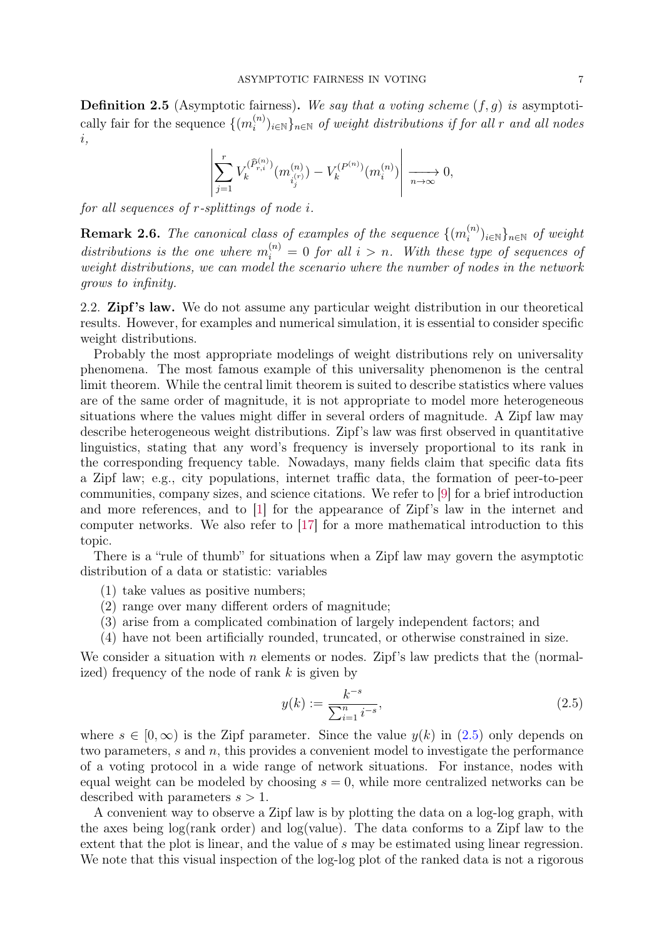<span id="page-6-0"></span>**Definition 2.5** (Asymptotic fairness). We say that a voting scheme  $(f, q)$  is asymptotically fair for the sequence  $\{(m_i^{(n)}\})$  $\{u^{(n)}_{i}\}_{i\in\mathbb{N}}$  of weight distributions if for all r and all nodes i,

$$
\left| \sum_{j=1}^{r} V_k^{(\widehat{P}_{r,i}^{(n)})} (m_{i_j^{(r)}}^{(n)}) - V_k^{(P^{(n)})} (m_i^{(n)}) \right| \xrightarrow[n \to \infty]{} 0,
$$

for all sequences of r-splittings of node i.

**Remark 2.6.** The canonical class of examples of the sequence  $\{(m_i^{(n)}\})$  $\binom{n}{i}$ <sub>i∈N</sub>}<sub>n∈N</sub> of weight distributions is the one where  $m_i^{(n)} = 0$  for all  $i > n$ . With these type of sequences of weight distributions, we can model the scenario where the number of nodes in the network grows to infinity.

<span id="page-6-1"></span>2.2. **Zipf's law.** We do not assume any particular weight distribution in our theoretical results. However, for examples and numerical simulation, it is essential to consider specific weight distributions.

Probably the most appropriate modelings of weight distributions rely on universality phenomena. The most famous example of this universality phenomenon is the central limit theorem. While the central limit theorem is suited to describe statistics where values are of the same order of magnitude, it is not appropriate to model more heterogeneous situations where the values might differ in several orders of magnitude. A Zipf law may describe heterogeneous weight distributions. Zipf's law was first observed in quantitative linguistics, stating that any word's frequency is inversely proportional to its rank in the corresponding frequency table. Nowadays, many fields claim that specific data fits a Zipf law; e.g., city populations, internet traffic data, the formation of peer-to-peer communities, company sizes, and science citations. We refer to [\[9\]](#page-30-13) for a brief introduction and more references, and to [\[1\]](#page-30-14) for the appearance of Zipf's law in the internet and computer networks. We also refer to [\[17\]](#page-30-15) for a more mathematical introduction to this topic.

There is a "rule of thumb" for situations when a Zipf law may govern the asymptotic distribution of a data or statistic: variables

- (1) take values as positive numbers;
- (2) range over many different orders of magnitude;
- (3) arise from a complicated combination of largely independent factors; and
- (4) have not been artificially rounded, truncated, or otherwise constrained in size.

We consider a situation with n elements or nodes. Zipf's law predicts that the (normalized) frequency of the node of rank  $k$  is given by

<span id="page-6-2"></span>
$$
y(k) := \frac{k^{-s}}{\sum_{i=1}^{n} i^{-s}},\tag{2.5}
$$

where  $s \in [0,\infty)$  is the Zipf parameter. Since the value  $y(k)$  in  $(2.5)$  only depends on two parameters, s and n, this provides a convenient model to investigate the performance of a voting protocol in a wide range of network situations. For instance, nodes with equal weight can be modeled by choosing  $s = 0$ , while more centralized networks can be described with parameters  $s > 1$ .

A convenient way to observe a Zipf law is by plotting the data on a log-log graph, with the axes being  $log(\text{rank order})$  and  $log(\text{value})$ . The data conforms to a Zipf law to the extent that the plot is linear, and the value of s may be estimated using linear regression. We note that this visual inspection of the log-log plot of the ranked data is not a rigorous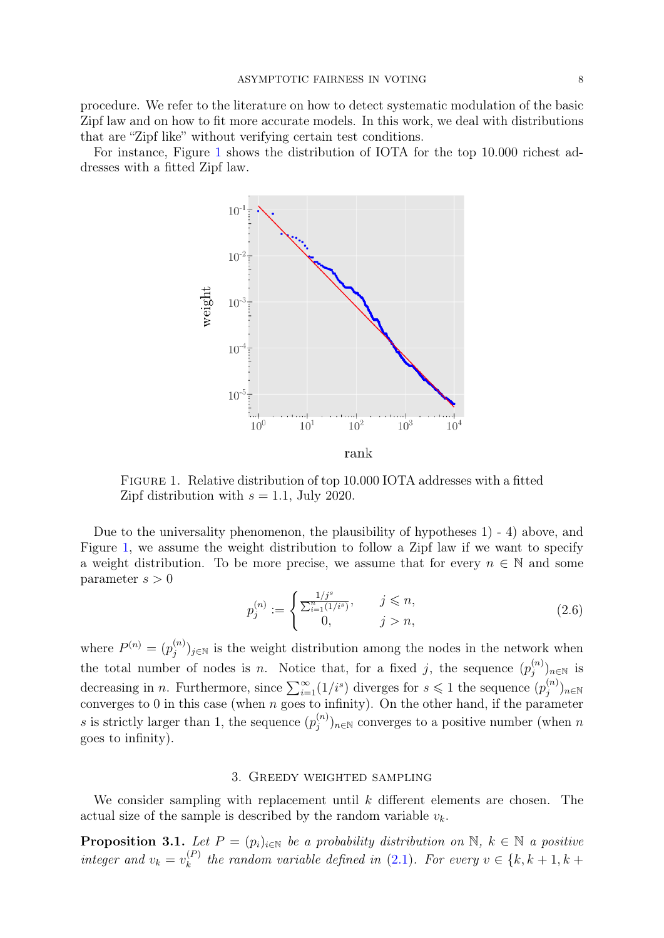procedure. We refer to the literature on how to detect systematic modulation of the basic Zipf law and on how to fit more accurate models. In this work, we deal with distributions that are "Zipf like" without verifying certain test conditions.

<span id="page-7-0"></span>For instance, Figure [1](#page-7-0) shows the distribution of IOTA for the top 10.000 richest addresses with a fitted Zipf law.



Figure 1. Relative distribution of top 10.000 IOTA addresses with a fitted Zipf distribution with  $s = 1.1$ , July 2020.

Due to the universality phenomenon, the plausibility of hypotheses 1) - 4) above, and Figure [1,](#page-7-0) we assume the weight distribution to follow a Zipf law if we want to specify a weight distribution. To be more precise, we assume that for every  $n \in \mathbb{N}$  and some parameter  $s > 0$ 

<span id="page-7-3"></span>
$$
p_j^{(n)} := \begin{cases} \frac{1/j^s}{\sum_{i=1}^n (1/i^s)}, & j \le n, \\ 0, & j > n, \end{cases}
$$
 (2.6)

where  $P^{(n)} = (p_i^{(n)})$  $j^{(n)}_{j}$ <sub>j∈N</sub> is the weight distribution among the nodes in the network when the total number of nodes is n. Notice that, for a fixed j, the sequence  $(p_i^{(n)})$  $(j^{(n)})_{n\in\mathbb{N}}$  is decreasing in *n*. Furthermore, since  $\sum_{i=1}^{\infty} (1/i^s)$  diverges for  $s \leq 1$  the sequence  $(p_j^{(n)})$  $\binom{n}{j}$ n $\in \mathbb{N}$ converges to 0 in this case (when  $n$  goes to infinity). On the other hand, if the parameter s is strictly larger than 1, the sequence  $(p_i^{(n)})$  $\mathcal{L}_{j}^{(n)}$ <sub>n∈N</sub> converges to a positive number (when n goes to infinity).

## 3. Greedy weighted sampling

<span id="page-7-1"></span>We consider sampling with replacement until  $k$  different elements are chosen. The actual size of the sample is described by the random variable  $v_k$ .

<span id="page-7-2"></span>**Proposition 3.1.** Let  $P = (p_i)_{i \in \mathbb{N}}$  be a probability distribution on  $\mathbb{N}, k \in \mathbb{N}$  a positive integer and  $v_k = v_k^{(P)}$  $\lambda_k^{(P)}$  the random variable defined in [\(2.1\)](#page-4-0). For every  $v \in \{k, k+1, k+1\}$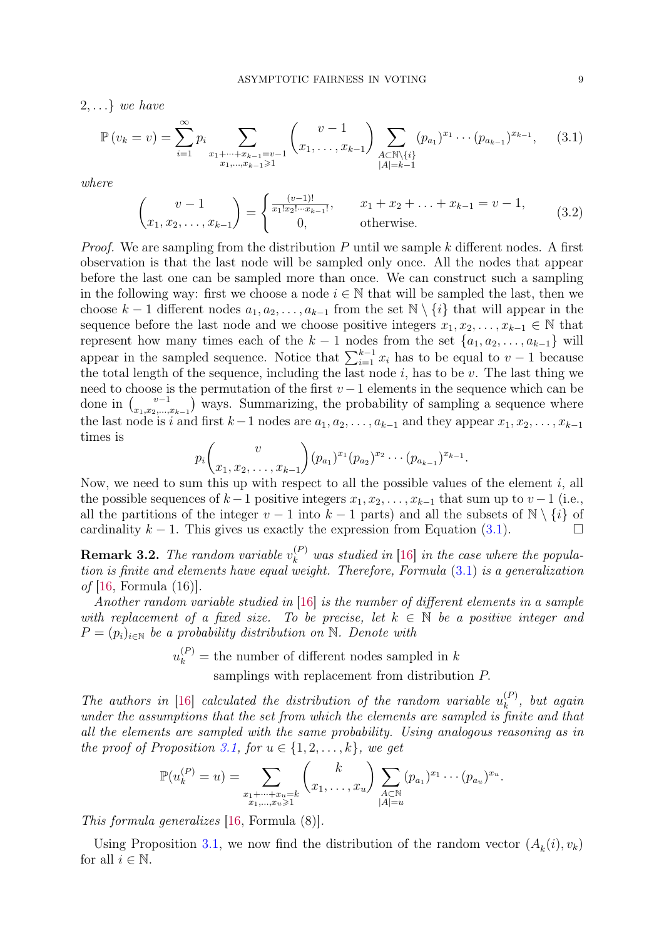$2, \ldots$ } we have

<span id="page-8-0"></span>
$$
\mathbb{P}(v_k = v) = \sum_{i=1}^{\infty} p_i \sum_{\substack{x_1 + \dots + x_{k-1} = v-1 \\ x_1, \dots, x_{k-1} \ge 1}} \binom{v-1}{x_1, \dots, x_{k-1}} \sum_{\substack{A \subset \mathbb{N} \setminus \{i\} \\ |A| = k-1}} (p_{a_1})^{x_1} \cdots (p_{a_{k-1}})^{x_{k-1}}, \quad (3.1)
$$

where

$$
\begin{pmatrix} v-1 \ x_1, x_2, \dots, x_{k-1} \end{pmatrix} = \begin{cases} \frac{(v-1)!}{x_1! x_2! \dots x_{k-1}!}, & x_1 + x_2 + \dots + x_{k-1} = v-1, \\ 0, & \text{otherwise.} \end{cases}
$$
(3.2)

*Proof.* We are sampling from the distribution P until we sample k different nodes. A first observation is that the last node will be sampled only once. All the nodes that appear before the last one can be sampled more than once. We can construct such a sampling in the following way: first we choose a node  $i \in \mathbb{N}$  that will be sampled the last, then we choose k – 1 different nodes  $a_1, a_2, \ldots, a_{k-1}$  from the set  $\mathbb{N} \setminus \{i\}$  that will appear in the sequence before the last node and we choose positive integers  $x_1, x_2, \ldots, x_{k-1} \in \mathbb{N}$  that represent how many times each of the  $k-1$  nodes from the set  $\{a_1, a_2, \ldots, a_{k-1}\}\$  will appear in the sampled sequence. Notice that  $\sum_{i=1}^{k-1} x_i$  has to be equal to  $v-1$  because the total length of the sequence, including the last node  $i$ , has to be  $v$ . The last thing we need to choose is the permutation of the first  $v-1$  elements in the sequence which can be done in  $\binom{v-1}{v}$  $\binom{v-1}{x_1,x_2,...,x_{k-1}}$  ways. Summarizing, the probability of sampling a sequence where the last node is i and first  $k-1$  nodes are  $a_1, a_2, \ldots, a_{k-1}$  and they appear  $x_1, x_2, \ldots, x_{k-1}$ times is

$$
p_i\binom{v}{x_1, x_2, \ldots, x_{k-1}} (p_{a_1})^{x_1} (p_{a_2})^{x_2} \cdots (p_{a_{k-1}})^{x_{k-1}}.
$$

Now, we need to sum this up with respect to all the possible values of the element  $i$ , all the possible sequences of  $k-1$  positive integers  $x_1, x_2, \ldots, x_{k-1}$  that sum up to  $v-1$  (i.e., all the partitions of the integer  $v - 1$  into  $k - 1$  parts) and all the subsets of  $\mathbb{N} \setminus \{i\}$  of cardinality  $k - 1$ . This gives us exactly the expression from Equation [\(3.1\)](#page-8-0).

**Remark 3.2.** The random variable  $v_k^{(P)}$  was studied in [\[16\]](#page-30-8) in the case where the population is finite and elements have equal weight. Therefore, Formula [\(3.1\)](#page-8-0) is a generalization of  $[16,$  Formula  $(16)$ .

Another random variable studied in [\[16\]](#page-30-8) is the number of different elements in a sample with replacement of a fixed size. To be precise, let  $k \in \mathbb{N}$  be a positive integer and  $P = (p_i)_{i \in \mathbb{N}}$  be a probability distribution on N. Denote with

> $u_k^{(P)}$  = the number of different nodes sampled in k samplings with replacement from distribution P.

The authors in [\[16\]](#page-30-8) calculated the distribution of the random variable  $u_k^{(P)}$  $\binom{P}{k}$ , but again under the assumptions that the set from which the elements are sampled is finite and that all the elements are sampled with the same probability. Using analogous reasoning as in the proof of Proposition [3.1,](#page-7-2) for  $u \in \{1, 2, \ldots, k\}$ , we get

$$
\mathbb{P}(u_k^{(P)} = u) = \sum_{\substack{x_1 + \dots + x_u = k \\ x_1, \dots, x_u \ge 1}} {k \choose x_1, \dots, x_u} \sum_{\substack{A \subset \mathbb{N} \\ |A| = u}} (p_{a_1})^{x_1} \cdots (p_{a_u})^{x_u}.
$$

This formula generalizes [\[16,](#page-30-8) Formula (8)].

Using Proposition [3.1,](#page-7-2) we now find the distribution of the random vector  $(A_k(i), v_k)$ for all  $i \in \mathbb{N}$ .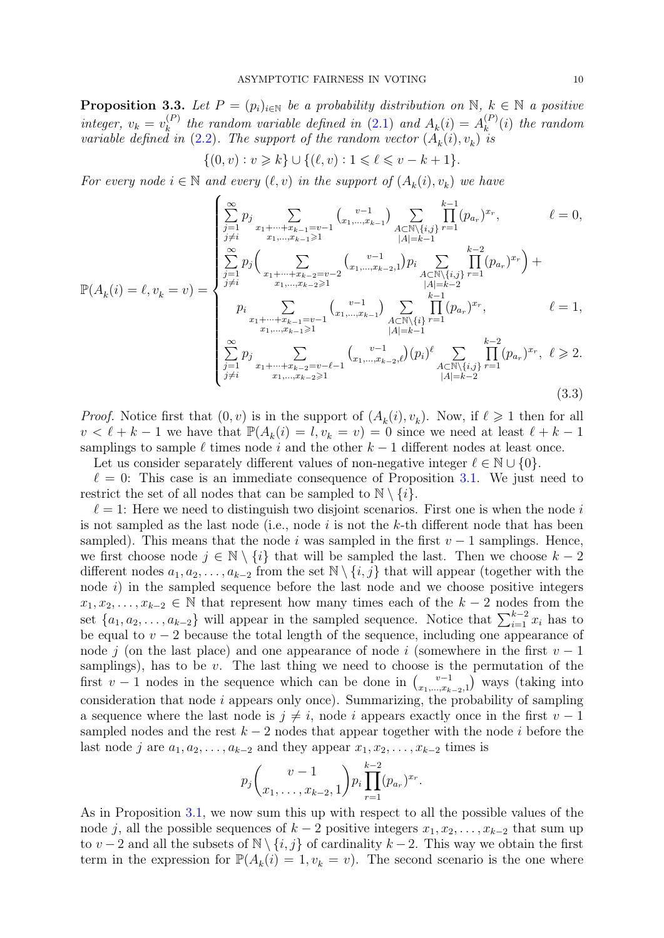<span id="page-9-0"></span>**Proposition 3.3.** Let  $P = (p_i)_{i \in \mathbb{N}}$  be a probability distribution on  $\mathbb{N}, k \in \mathbb{N}$  a positive integer,  $v_k = v_k^{(P)}$  $\mathcal{L}_{k}^{(P)}$  the random variable defined in [\(2.1\)](#page-4-0) and  $A_{k}(i) = A_{k}^{(P)}$  $k^{(P)}(i)$  the random variable defined in  $(2.2)$ . The support of the random vector  $(A_k(i), v_k)$  is

$$
\{(0,v):v\geqslant k\}\cup\{(\ell,v):1\leqslant \ell\leqslant v-k+1\}.
$$

For every node  $i \in \mathbb{N}$  and every  $(\ell, v)$  in the support of  $(A_k(i), v_k)$  we have

<span id="page-9-1"></span>
$$
\mathbb{P}(A_{k}(i) = \ell, v_{k} = v) = \begin{cases} \sum_{j=1}^{\infty} p_{j} \sum_{\substack{x_{1} + \dots + x_{k-1} = v-1 \\ j \neq i}} {x_{1} + \dots + x_{k-1} \geq 1} {x_{1} + \dots + x_{k-1} \geq 1} \\ \sum_{j=1}^{\infty} p_{j} {x_{1} + \dots + x_{k-2} \geq 1} \\ \sum_{j=1}^{\infty} p_{j} {x_{1} + \dots + x_{k-2} \geq 1} \\ p_{i} \sum_{\substack{x_{1} + \dots + x_{k-1} = v-1 \\ x_{1} + \dots + x_{k-1} = v-1}} {x_{1} + \dots + x_{k-1} \geq 1} \\ p_{i} \sum_{\substack{x_{1} + \dots + x_{k-1} = v-1 \\ x_{1} + \dots + x_{k-1} \geq 1}} {x_{1} + \dots + x_{k-1} \geq 1} \\ p_{j} \sum_{\substack{x_{1} + \dots + x_{k-1} = v-1 \\ x_{1} + \dots + x_{k-2} = v - \ell - 1}} {x_{1} + \dots + x_{k-2} \geq 1} \\ p_{j} \sum_{\substack{j=1 \\ j \neq i}} {x_{1} + \dots + x_{k-2} = v - \ell - 1} \\ x_{1} + \dots + x_{k-2} \geq 1} \\ p_{j} \sum_{\substack{x_{1} + \dots + x_{k-2} = v - \ell - 1 \\ x_{1} + \dots + x_{k-2} \geq 1}} {x_{1} + \dots + x_{k-2} \geq 1} \\ p_{j} \sum_{\substack{j=1 \\ |A| = k-2}}^{x_{1} + \dots + x_{k-2} \geq 1} \\ p_{j} \sum_{\substack{j=1 \\ x_{1} + \dots + x_{k-2} \geq 1}}^{x_{1} + \dots + x_{k-2} \geq 1} \\ p_{j} \sum_{\substack{j=1 \\ x_{1} + \dots + x_{k-2} \geq 1}}^{x_{1} + \dots + x_{k-2} \geq 1} \\ p_{j} \sum_{\substack{j=1 \\ |A| = k-2}}^{x_{1} + \dots + x_{k-2} \geq 1} \\ p_{j} \sum_{\sub
$$

*Proof.* Notice first that  $(0, v)$  is in the support of  $(A_k(i), v_k)$ . Now, if  $\ell \geq 1$  then for all  $v < \ell + k - 1$  we have that  $\mathbb{P}(A_k(i) = l, v_k = v) = 0$  since we need at least  $\ell + k - 1$ samplings to sample  $\ell$  times node i and the other  $k - 1$  different nodes at least once. Let us consider separately different values of non-negative integer  $\ell \in \mathbb{N} \cup \{0\}$ .

 $\ell = 0$ : This case is an immediate consequence of Proposition [3.1.](#page-7-2) We just need to restrict the set of all nodes that can be sampled to  $\mathbb{N} \setminus \{i\}.$ 

 $\ell = 1$ : Here we need to distinguish two disjoint scenarios. First one is when the node i is not sampled as the last node (i.e., node  $i$  is not the  $k$ -th different node that has been sampled). This means that the node i was sampled in the first  $v - 1$  samplings. Hence, we first choose node  $j \in \mathbb{N} \setminus \{i\}$  that will be sampled the last. Then we choose  $k-2$ different nodes  $a_1, a_2, \ldots, a_{k-2}$  from the set  $\mathbb{N} \setminus \{i, j\}$  that will appear (together with the node  $i$ ) in the sampled sequence before the last node and we choose positive integers  $x_1, x_2, \ldots, x_{k-2} \in \mathbb{N}$  that represent how many times each of the  $k-2$  nodes from the set  $\{a_1, a_2, \ldots, a_{k-2}\}\$  will appear in the sampled sequence. Notice that  $\sum_{i=1}^{k-2} x_i$  has to be equal to  $v - 2$  because the total length of the sequence, including one appearance of node j (on the last place) and one appearance of node i (somewhere in the first  $v - 1$ samplings), has to be  $v$ . The last thing we need to choose is the permutation of the first  $v-1$  nodes in the sequence which can be done in  $\binom{v-1}{r}$  $\binom{v-1}{x_1,\dots,x_{k-2},1}$  ways (taking into consideration that node i appears only once). Summarizing, the probability of sampling a sequence where the last node is  $j \neq i$ , node i appears exactly once in the first  $v - 1$ sampled nodes and the rest  $k - 2$  nodes that appear together with the node i before the last node j are  $a_1, a_2, \ldots, a_{k-2}$  and they appear  $x_1, x_2, \ldots, x_{k-2}$  times is

$$
p_j\binom{v-1}{x_1,\ldots,x_{k-2},1}p_i\prod_{r=1}^{k-2}(p_{a_r})^{x_r}.
$$

As in Proposition [3.1,](#page-7-2) we now sum this up with respect to all the possible values of the node j, all the possible sequences of  $k-2$  positive integers  $x_1, x_2, \ldots, x_{k-2}$  that sum up to v − 2 and all the subsets of  $\mathbb{N} \setminus \{i, j\}$  of cardinality  $k - 2$ . This way we obtain the first term in the expression for  $\mathbb{P}(A_k(i) = 1, v_k = v)$ . The second scenario is the one where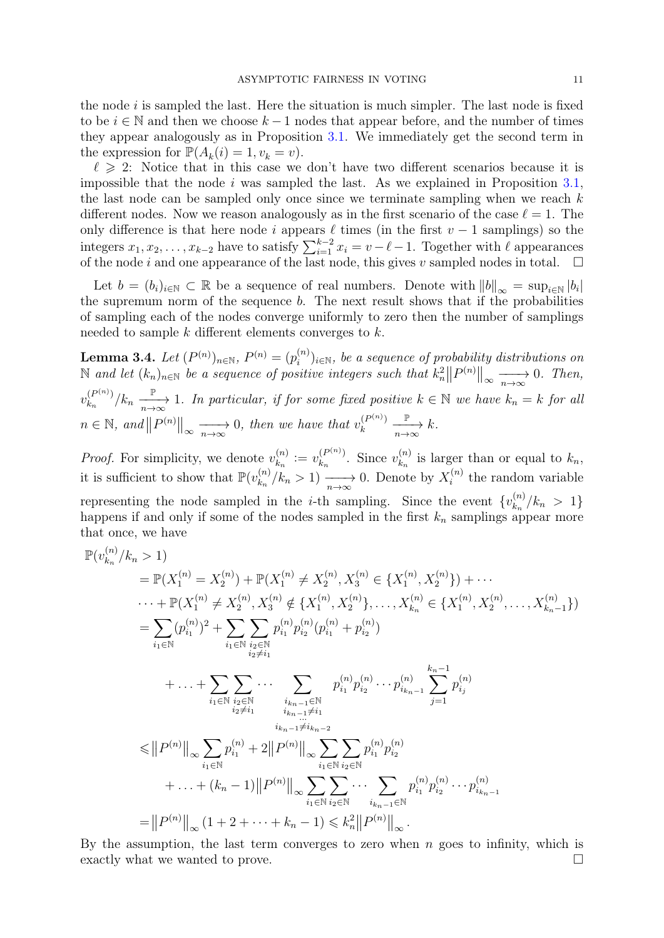the node  $i$  is sampled the last. Here the situation is much simpler. The last node is fixed to be  $i \in \mathbb{N}$  and then we choose  $k-1$  nodes that appear before, and the number of times they appear analogously as in Proposition [3.1.](#page-7-2) We immediately get the second term in the expression for  $\mathbb{P}(A_k(i) = 1, v_k = v)$ .

 $\ell \geq 2$ : Notice that in this case we don't have two different scenarios because it is impossible that the node  $i$  was sampled the last. As we explained in Proposition [3.1,](#page-7-2) the last node can be sampled only once since we terminate sampling when we reach  $k$ different nodes. Now we reason analogously as in the first scenario of the case  $\ell = 1$ . The only difference is that here node i appears  $\ell$  times (in the first  $v - 1$  samplings) so the integers  $x_1, x_2, \ldots, x_{k-2}$  have to satisfy  $\sum_{i=1}^{k-2} x_i = v - \ell - 1$ . Together with  $\ell$  appearances of the node i and one appearance of the last node, this gives v sampled nodes in total.  $\square$ 

Let  $b = (b_i)_{i \in \mathbb{N}} \subset \mathbb{R}$  be a sequence of real numbers. Denote with  $||b||_{\infty} = \sup_{i \in \mathbb{N}} |b_i|$ the supremum norm of the sequence b. The next result shows that if the probabilities of sampling each of the nodes converge uniformly to zero then the number of samplings needed to sample k different elements converges to k.

<span id="page-10-0"></span> $\textbf{Lemma 3.4.} \, \, Let \, (P^{(n)})_{n \in \mathbb{N}}, \, P^{(n)} = (p_i^{(n)})$  $\binom{n}{i}$ <sub>i</sub> $\in$ <sup>N</sup>, be a sequence of probability distributions on  $\mathbb N$  and let  $(k_n)_{n\in\mathbb N}$  be a sequence of positive integers such that  $k_n^2||P^{(n)}||_{\infty} \longrightarrow 0$ . Then,  $v_{k_n}^{(P^{(n)})}$  $\frac{P^{(P^{(n)})}}{R_n}$  /k<sub>n</sub>  $\frac{\mathbb{P}}{n\to\infty}$  1. In particular, if for some fixed positive  $k \in \mathbb{N}$  we have  $k_n = k$  for all  $n \in \mathbb{N}$ , and  $||P^{(n)}||_{\infty} \longrightarrow 0$ , then we have that  $v_k^{(P^{(n)})}$ k  $\frac{\mathbb{P}}{n\to\infty}k.$ 

*Proof.* For simplicity, we denote  $v_{k_n}^{(n)}$  $v_{k_n}^{(n)} := v_{k_n}^{(P^{(n)})}$  $\binom{(P^{(n)})}{k_n}$ . Since  $v_{k_n}^{(n)}$  $k_n^{(n)}$  is larger than or equal to  $k_n$ , it is sufficient to show that  $\mathbb{P}(v_{k_n}^{(n)})$  $\binom{n}{k_n}/k_n > 1$   $\longrightarrow \infty$  0. Denote by  $X_i^{(n)}$  $i^{(n)}$  the random variable representing the node sampled in the *i*-th sampling. Since the event  ${v_{k_n}^{(n)}}$  $\binom{n}{k_n}/k_n > 1$ happens if and only if some of the nodes sampled in the first  $k_n$  samplings appear more that once, we have

$$
\mathbb{P}(v_{k_n}^{(n)}/k_n > 1)
$$
\n
$$
= \mathbb{P}(X_1^{(n)} = X_2^{(n)}) + \mathbb{P}(X_1^{(n)} \neq X_2^{(n)}, X_3^{(n)} \in \{X_1^{(n)}, X_2^{(n)}\}) + \cdots
$$
\n
$$
\cdots + \mathbb{P}(X_1^{(n)} \neq X_2^{(n)}, X_3^{(n)} \notin \{X_1^{(n)}, X_2^{(n)}\}, \dots, X_{k_n}^{(n)} \in \{X_1^{(n)}, X_2^{(n)}, \dots, X_{k_n-1}^{(n)}\})
$$
\n
$$
= \sum_{i_1 \in \mathbb{N}} (p_{i_1}^{(n)})^2 + \sum_{i_1 \in \mathbb{N}} \sum_{\substack{i_2 \in \mathbb{N} \\ i_2 \neq i_1}} p_{i_1}^{(n)} p_{i_2}^{(n)} (p_{i_1}^{(n)} + p_{i_2}^{(n)})
$$
\n
$$
+ \cdots + \sum_{i_1 \in \mathbb{N}} \sum_{\substack{i_2 \in \mathbb{N} \\ i_2 \neq i_1}} \cdots \sum_{\substack{i_{k_n-1} \in \mathbb{N} \\ i_{k_n-1} \neq i_1}} p_{i_1}^{(n)} p_{i_2}^{(n)} \cdots p_{i_{k_{n-1}}}^{(n)} \sum_{j=1}^{k_n-1} p_{i_j}^{(n)}
$$
\n
$$
\leq ||P^{(n)}||_{\infty} \sum_{i_1 \in \mathbb{N}} p_{i_1}^{(n)} + 2||P^{(n)}||_{\infty} \sum_{i_1 \in \mathbb{N}} \sum_{i_2 \in \mathbb{N}} p_{i_1}^{(n)} p_{i_2}^{(n)}
$$
\n
$$
+ \cdots + (k_n - 1)||P^{(n)}||_{\infty} \sum_{i_1 \in \mathbb{N}} \sum_{i_2 \in \mathbb{N}} \cdots \sum_{i_{k_n-1} \in \mathbb{N}} p_{i_1}^{(n)} p_{i_2}^{(n)} \cdots p_{i_{k_{n-1}}}^{(n)}
$$
\n
$$
= ||P^{(n)}||_{\infty} (1 + 2 + \cdots + k_n - 1
$$

By the assumption, the last term converges to zero when  $n$  goes to infinity, which is exactly what we wanted to prove.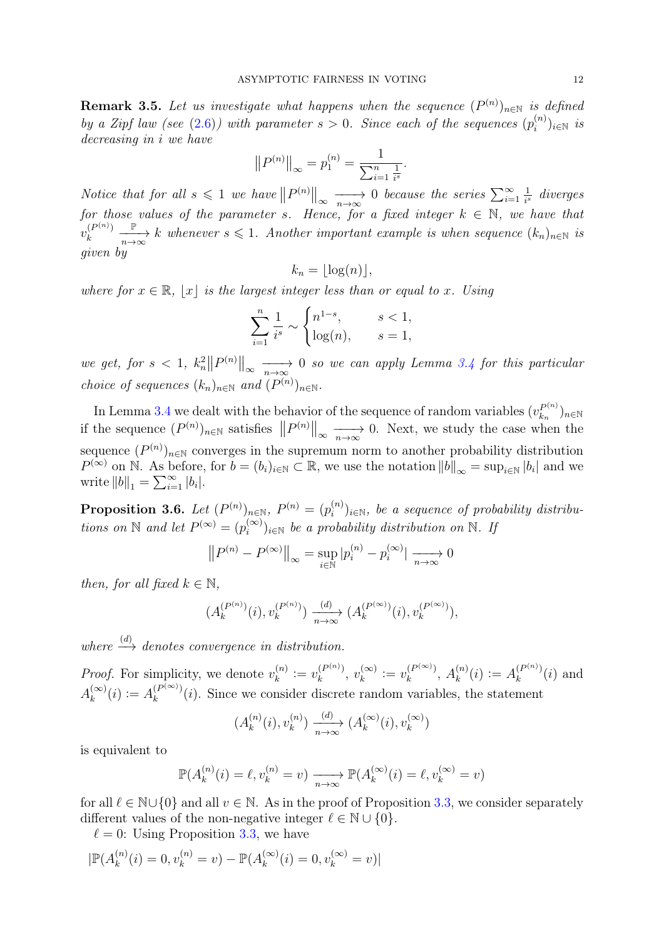**Remark 3.5.** Let us investigate what happens when the sequence  $(P^{(n)})_{n\in\mathbb{N}}$  is defined by a Zipf law (see [\(2.6\)](#page-7-3)) with parameter  $s > 0$ . Since each of the sequences  $(p_i^{(n)})$  $(i^{(n)})_{i\in\mathbb{N}}$  is decreasing in i we have

$$
||P^{(n)}||_{\infty} = p_1^{(n)} = \frac{1}{\sum_{i=1}^n \frac{1}{i^s}}.
$$

Notice that for all  $s \leq 1$  we have  $||P^{(n)}||_{\infty} \longrightarrow 0$  because the series  $\sum_{i=1}^{\infty}$ 1  $rac{1}{i^s}$  diverges for those values of the parameter s. Hence, for a fixed integer  $k \in \mathbb{N}$ , we have that  $v_k^{(P^{(n)})}$ k  $\frac{\mathbb{P}}{n\to\infty}$  k whenever  $s\leqslant 1$ . Another important example is when sequence  $(k_n)_{n\in\mathbb{N}}$  is given by

$$
k_n = \lfloor \log(n) \rfloor,
$$

where for  $x \in \mathbb{R}$ ,  $|x|$  is the largest integer less than or equal to x. Using

$$
\sum_{i=1}^{n} \frac{1}{i^s} \sim \begin{cases} n^{1-s}, & s < 1, \\ \log(n), & s = 1, \end{cases}
$$

we get, for  $s < 1$ ,  $k_n^2 \|P^{(n)}\|_{\infty} \longrightarrow 0$  so we can apply Lemma [3.4](#page-10-0) for this particular choice of sequences  $(k_n)_{n \in \mathbb{N}}$  and  $(P^{(n)})_{n \in \mathbb{N}}$ .

In Lemma [3.4](#page-10-0) we dealt with the behavior of the sequence of random variables  $(v_k^{P^{(n)}})$  $h_n^{P^{(n)}})_{n\in\mathbb{N}}$ if the sequence  $(P^{(n)})_{n\in\mathbb{N}}$  satisfies  $||P^{(n)}||_{\infty} \longrightarrow 0$ . Next, we study the case when the sequence  $(P^{(n)})_{n\in\mathbb{N}}$  converges in the supremum norm to another probability distribution  $P^{(\infty)}$  on N. As before, for  $b = (b_i)_{i \in \mathbb{N}} \subset \mathbb{R}$ , we use the notation  $||b||_{\infty} = \sup_{i \in \mathbb{N}} |b_i|$  and we write  $||b||_1 = \sum_{i=1}^{\infty} |b_i|$ .

<span id="page-11-0"></span>**Proposition 3.6.** Let  $(P^{(n)})_{n\in\mathbb{N}},\ P^{(n)}=(p_i^{(n)})_{n\in\mathbb{N}}$  $(i^{(n)})_{i\in\mathbb{N}}$ , be a sequence of probability distributions on N and let  $P^{(\infty)} = (p_i^{(\infty)})$  $\binom{(\infty)}{i}_{i\in\mathbb{N}}$  be a probability distribution on  $\mathbb{N}$ . If

$$
||P^{(n)} - P^{(\infty)}||_{\infty} = \sup_{i \in \mathbb{N}} |p_i^{(n)} - p_i^{(\infty)}| \xrightarrow[n \to \infty]{} 0
$$

then, for all fixed  $k \in \mathbb{N}$ ,

$$
(A_k^{(P^{(n)})}(i), v_k^{(P^{(n)})}) \xrightarrow[n \to \infty]{(d)} (A_k^{(P^{(\infty)})}(i), v_k^{(P^{(\infty)})}),
$$

where  $\stackrel{(d)}{\longrightarrow}$  denotes convergence in distribution.

*Proof.* For simplicity, we denote  $v_k^{(n)}$  $y_k^{(n)} := v_k^{(P^{(n)})}$  $v_k^{(P^{(n)})},\ v_k^{(\infty)}$  $y_k^{(\infty)} := v_k^{(P^{(\infty)})}$  $\lambda^{(P^{(\infty)})}_k, A^{(n)}_k$  $\binom{n}{k}(i) := A_k^{(P^{(n)})}$  $\binom{(P^{(n)})}{k}(i)$  and  $A_k^{(\infty)}$  $\binom{\infty}{k}(i) := A_k^{(P^{(\infty)})}$  $\binom{(P^{(\infty)})}{k}(i)$ . Since we consider discrete random variables, the statement

$$
(A_k^{(n)}(i), v_k^{(n)}) \xrightarrow[n \to \infty]{(d)} (A_k^{(\infty)}(i), v_k^{(\infty)})
$$

is equivalent to

$$
\mathbb{P}(A_k^{(n)}(i) = \ell, v_k^{(n)} = v) \xrightarrow[n \to \infty]{} \mathbb{P}(A_k^{(\infty)}(i) = \ell, v_k^{(\infty)} = v)
$$

for all  $\ell \in \mathbb{N}\cup\{0\}$  and all  $v \in \mathbb{N}$ . As in the proof of Proposition [3.3,](#page-9-0) we consider separately different values of the non-negative integer  $\ell \in \mathbb{N} \cup \{0\}$ .

 $\ell = 0$ : Using Proposition [3.3,](#page-9-0) we have

$$
|\mathbb{P}(A_k^{(n)}(i) = 0, v_k^{(n)} = v) - \mathbb{P}(A_k^{(\infty)}(i) = 0, v_k^{(\infty)} = v)|
$$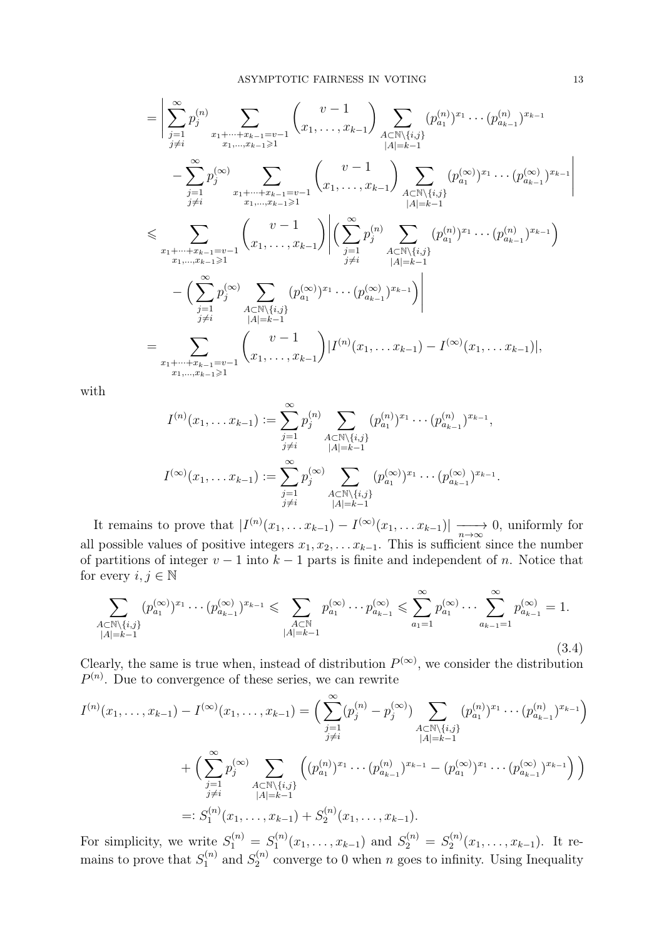$$
= \left| \sum_{\substack{j=1 \ j \neq i}}^{\infty} p_j^{(n)} \sum_{\substack{x_1 + \dots + x_{k-1} = v-1 \ x_1, \dots, x_{k-1} \geq 1}} \binom{v-1}{x_1, \dots, x_{k-1}} \sum_{\substack{A \subset \mathbb{N} \setminus \{i,j\} \\ |A| = k-1}} (p_{a_1}^{(n)})^{x_1} \cdots (p_{a_{k-1}}^{(n)})^{x_{k-1}} - \sum_{\substack{j=1 \ j \neq i}}^{\infty} p_j^{(\infty)} \sum_{\substack{x_1 + \dots + x_{k-1} = v-1 \\ x_1, \dots, x_{k-1} \geq 1}} \binom{v-1}{x_1, \dots, x_{k-1}} \sum_{\substack{A \subset \mathbb{N} \setminus \{i,j\} \\ |A| = k-1}} (p_{a_1}^{(\infty)})^{x_1} \cdots (p_{a_{k-1}}^{(\infty)})^{x_{k-1}} \right|
$$
  

$$
\leq \sum_{\substack{x_1 + \dots + x_{k-1} = v-1 \\ x_1, \dots, x_{k-1} \geq 1}} \binom{v-1}{x_1, \dots, x_{k-1}} \left| \sum_{\substack{j=1 \ j \neq i}}^{\infty} p_j^{(n)} \sum_{\substack{A \subset \mathbb{N} \setminus \{i,j\} \\ |A| = k-1}} (p_{a_1}^{(n)})^{x_1} \cdots (p_{a_{k-1}}^{(n)})^{x_{k-1}} \right|
$$
  

$$
- \left( \sum_{\substack{j=1 \ j \neq i}}^{\infty} p_j^{(\infty)} \sum_{\substack{A \subset \mathbb{N} \setminus \{i,j\} \\ |A| = k-1}} (p_{a_1}^{(\infty)})^{x_1} \cdots (p_{a_{k-1}}^{(\infty)})^{x_{k-1}} \right) \left| \right|
$$
  

$$
= \sum_{\substack{x_1 + \dots + x_{k-1} = v-1 \\ x_1, \dots, x_{k-1} \geq 1}} \binom{v-1}{x_1, \dots, x_{k-1}} |I^{(n)}(x_1, \dots, x_{k-1}) - I^{(\infty)}(x_1, \dots, x_{
$$

with

$$
I^{(n)}(x_1, \ldots x_{k-1}) := \sum_{\substack{j=1 \ j \neq i}}^{\infty} p_j^{(n)} \sum_{\substack{A \subset \mathbb{N} \setminus \{i,j\} \\ |A|=k-1}} (p_{a_1}^{(n)})^{x_1} \cdots (p_{a_{k-1}}^{(n)})^{x_{k-1}},
$$
  

$$
I^{(\infty)}(x_1, \ldots x_{k-1}) := \sum_{\substack{j=1 \ j \neq i}}^{\infty} p_j^{(\infty)} \sum_{\substack{A \subset \mathbb{N} \setminus \{i,j\} \\ |A|=k-1}} (p_{a_1}^{(\infty)})^{x_1} \cdots (p_{a_{k-1}}^{(\infty)})^{x_{k-1}}.
$$

It remains to prove that  $|I^{(n)}(x_1,\ldots x_{k-1})-I^{(\infty)}(x_1,\ldots x_{k-1})| \xrightarrow[n \to \infty]{} 0$ , uniformly for all possible values of positive integers  $x_1, x_2, \ldots x_{k-1}$ . This is sufficient since the number of partitions of integer  $v - 1$  into  $k - 1$  parts is finite and independent of n. Notice that for every  $i, j \in \mathbb{N}$ 

<span id="page-12-0"></span>
$$
\sum_{\substack{A\subset\mathbb{N}\backslash\{i,j\}\\|A|=k-1}} (p_{a_1}^{(\infty)})^{x_1}\cdots(p_{a_{k-1}}^{(\infty)})^{x_{k-1}} \leqslant \sum_{\substack{A\subset\mathbb{N}\\|A|=k-1}} p_{a_1}^{(\infty)}\cdots p_{a_{k-1}}^{(\infty)} \leqslant \sum_{a_1=1}^{\infty} p_{a_1}^{(\infty)}\cdots \sum_{a_{k-1}=1}^{\infty} p_{a_{k-1}}^{(\infty)} = 1.
$$
\n(3.4)

Clearly, the same is true when, instead of distribution  $P^{(\infty)}$ , we consider the distribution  $P^{(n)}$ . Due to convergence of these series, we can rewrite

$$
I^{(n)}(x_1, \ldots, x_{k-1}) - I^{(\infty)}(x_1, \ldots, x_{k-1}) = \Big( \sum_{\substack{j=1 \ j \neq i}}^{\infty} (p_j^{(n)} - p_j^{(\infty)}) \sum_{\substack{A \subset \mathbb{N} \setminus \{i,j\} \\ |A| = k-1}} (p_{a_1}^{(n)})^{x_1} \cdots (p_{a_{k-1}}^{(n)})^{x_{k-1}} \Big)
$$
  
+ 
$$
\Big( \sum_{\substack{j=1 \ j \neq i}}^{\infty} p_j^{(\infty)} \sum_{\substack{A \subset \mathbb{N} \setminus \{i,j\} \\ |A| = k-1}} \Big( (p_{a_1}^{(n)})^{x_1} \cdots (p_{a_{k-1}}^{(n)})^{x_{k-1}} - (p_{a_1}^{(\infty)})^{x_1} \cdots (p_{a_{k-1}}^{(\infty)})^{x_{k-1}} \Big) \Big)
$$
  
=: 
$$
S_1^{(n)}(x_1, \ldots, x_{k-1}) + S_2^{(n)}(x_1, \ldots, x_{k-1}).
$$

For simplicity, we write  $S_1^{(n)} = S_1^{(n)}$  $S_1^{(n)}(x_1,\ldots,x_{k-1})$  and  $S_2^{(n)}=S_2^{(n)}$  $x_2^{(n)}(x_1,\ldots,x_{k-1})$ . It remains to prove that  $S_1^{(n)}$  $S_1^{(n)}$  and  $S_2^{(n)}$  $n_2^{(n)}$  converge to 0 when *n* goes to infinity. Using Inequality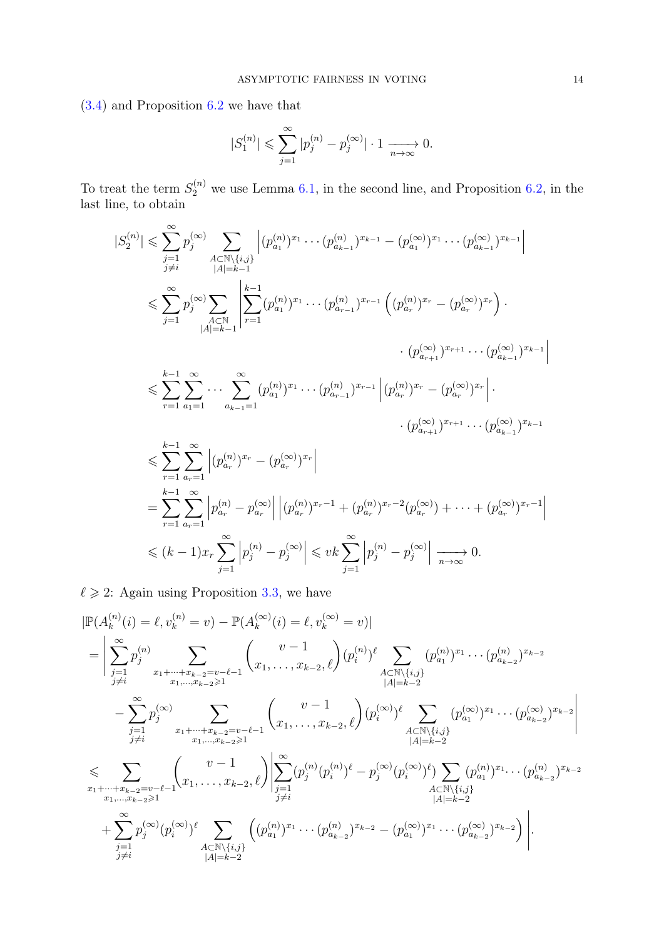[\(3.4\)](#page-12-0) and Proposition [6.2](#page-27-1) we have that

$$
|S_1^{(n)}| \leqslant \sum_{j=1}^\infty |p_j^{(n)}-p_j^{(\infty)}| \cdot 1 \xrightarrow[n \to \infty]{} 0.
$$

To treat the term  $S_2^{(n)}$  we use Lemma [6.1,](#page-27-2) in the second line, and Proposition [6.2,](#page-27-1) in the last line, to obtain

$$
|S_{2}^{(n)}| \leqslant \sum_{j=1}^{\infty} p_{j}^{(\infty)} \sum_{\substack{A \subset \mathbb{N} \setminus \{i,j\} \\ |A|=k-1}} \left| (p_{a_{1}}^{(n)})^{x_{1}} \cdots (p_{a_{k-1}}^{(n)})^{x_{k-1}} - (p_{a_{1}}^{(\infty)})^{x_{1}} \cdots (p_{a_{k-1}}^{(\infty)})^{x_{k-1}} \right|
$$
  

$$
\leqslant \sum_{j=1}^{\infty} p_{j}^{(\infty)} \sum_{\substack{A \subset \mathbb{N} \\ |A|=k-1}} \left| \sum_{r=1}^{k-1} (p_{a_{1}}^{(n)})^{x_{1}} \cdots (p_{a_{r-1}}^{(n)})^{x_{r-1}} \left( (p_{a_{r}}^{(n)})^{x_{r}} - (p_{a_{r}}^{(\infty)})^{x_{r}} \right) \cdot \right|
$$
  

$$
\leqslant \sum_{r=1}^{k-1} \sum_{a_{1}=1}^{\infty} \cdots \sum_{a_{k-1}=1}^{\infty} (p_{a_{1}}^{(n)})^{x_{1}} \cdots (p_{a_{r-1}}^{(n)})^{x_{r-1}} \left| (p_{a_{r}}^{(n)})^{x_{r}} - (p_{a_{r}}^{(\infty)})^{x_{r}} \right|.
$$
  

$$
\leqslant \sum_{r=1}^{k-1} \sum_{a_{r}=1}^{\infty} \left| (p_{a_{r}}^{(n)})^{x_{r}} - (p_{a_{r}}^{(\infty)})^{x_{r}} \right|
$$
  

$$
= \sum_{r=1}^{k-1} \sum_{a_{r}=1}^{\infty} \left| p_{a_{r}}^{(n)} - p_{a_{r}}^{(\infty)} \right| \left| (p_{a_{r}}^{(n)})^{x_{r-1}} + (p_{a_{r}}^{(n)})^{x_{r}-2} (p_{a_{r}}^{(\infty)}) + \cdots + (p_{a_{r}}^{(\infty)})^{x_{r-1}} \right|
$$

$$
\leq (k-1)x_r \sum_{j=1}^{\infty} \left| p_j^{(n)} - p_j^{(\infty)} \right| \leqslant vk \sum_{j=1}^{\infty} \left| p_j^{(n)} - p_j^{(\infty)} \right| \xrightarrow[n \to \infty]{} 0.
$$

 $\ell \geq 2$ : Again using Proposition [3.3,](#page-9-0) we have

$$
\begin{split}\n&|\mathbb{P}(A_{k}^{(n)}(i) = \ell, v_{k}^{(n)} = v) - \mathbb{P}(A_{k}^{(\infty)}(i) = \ell, v_{k}^{(\infty)} = v)| \\
&= \left| \sum_{\substack{j=1 \ j \neq i}}^{\infty} p_{j}^{(n)} \sum_{\substack{x_{1} + \dots + x_{k-2} = v - \ell - 1}}^{\infty} {v - 1 \choose x_{1}, \dots, x_{k-2}, \ell} (p_{i}^{(n)})^{\ell} \sum_{\substack{A \subset \mathbb{N} \setminus \{i,j\} \\ |A| = k-2}}^{\infty} (p_{a_{1}}^{(n)})^{x_{1}} \cdots (p_{a_{k-2}}^{(n)})^{x_{k-2}} \right. \\
&\left. - \sum_{\substack{j=1 \ j \neq i}}^{\infty} p_{j}^{(\infty)} \sum_{\substack{x_{1} + \dots + x_{k-2} = v - \ell - 1 \\ x_{1}, \dots, x_{k-2} \geq 1}}^{\infty} \left( x_{1}, \dots, x_{k-2}, \ell \right) (p_{i}^{(\infty)})^{\ell} \sum_{\substack{A \subset \mathbb{N} \setminus \{i,j\} \\ |A| = k-2}}^{\infty} (p_{a_{1}}^{(\infty)})^{x_{1}} \cdots (p_{a_{k-2}}^{(\infty)})^{x_{k-2}} \right| \\
&\leq & \sum_{\substack{x_{1} + \dots + x_{k-2} = v - \ell - 1 \\ x_{1}, \dots, x_{k-2} \geq 1}}^{\infty} \left( v - 1 \sum_{\substack{j=1 \\ j \neq i}}^{\infty} (p_{j}^{(n)}(p_{i}^{(n)})^{\ell} - p_{j}^{(\infty)}(p_{i}^{(\infty)})^{\ell} \sum_{\substack{A \subset \mathbb{N} \setminus \{i,j\} \\ |A| = k-2}}^{\infty} (p_{a_{1}}^{(n)})^{x_{1}} \cdots (p_{a_{k-2}}^{(n)})^{x_{k-2}} \right). \n\end{split}
$$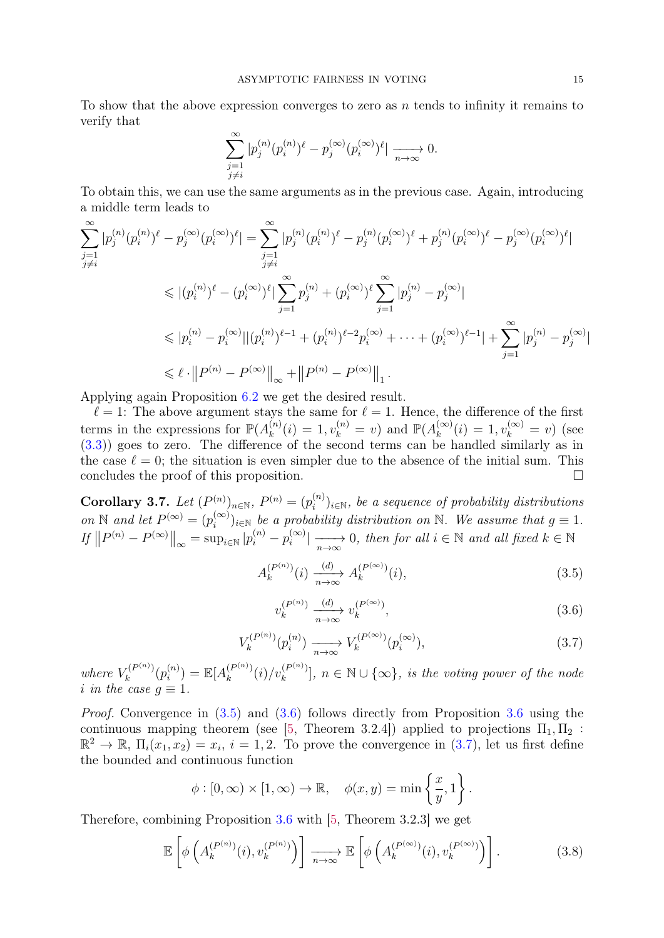To show that the above expression converges to zero as  $n$  tends to infinity it remains to verify that

$$
\sum_{\substack{j=1 \ j \neq i}}^{\infty} |p_j^{(n)}(p_i^{(n)})^{\ell} - p_j^{(\infty)}(p_i^{(\infty)})^{\ell}| \xrightarrow[n \to \infty]{} 0.
$$

To obtain this, we can use the same arguments as in the previous case. Again, introducing a middle term leads to

$$
\sum_{\substack{j=1 \ j \neq i}}^{\infty} |p_j^{(n)}(p_i^{(n)})^{\ell} - p_j^{(\infty)}(p_i^{(\infty)})^{\ell}| = \sum_{\substack{j=1 \ j \neq i}}^{\infty} |p_j^{(n)}(p_i^{(n)})^{\ell} - p_j^{(n)}(p_i^{(\infty)})^{\ell} + p_j^{(n)}(p_i^{(\infty)})^{\ell} - p_j^{(\infty)}(p_i^{(\infty)})^{\ell}|
$$
\n
$$
\leq |(p_i^{(n)})^{\ell} - (p_i^{(\infty)})^{\ell}| \sum_{j=1}^{\infty} p_j^{(n)} + (p_i^{(\infty)})^{\ell} \sum_{j=1}^{\infty} |p_j^{(n)} - p_j^{(\infty)}|
$$
\n
$$
\leq |p_i^{(n)} - p_i^{(\infty)}| |(p_i^{(n)})^{\ell-1} + (p_i^{(n)})^{\ell-2} p_i^{(\infty)} + \dots + (p_i^{(\infty)})^{\ell-1}| + \sum_{j=1}^{\infty} |p_j^{(n)} - p_j^{(\infty)}|
$$
\n
$$
\leq \ell \cdot ||P^{(n)} - P^{(\infty)}||_{\infty} + ||P^{(n)} - P^{(\infty)}||_{1}.
$$

Applying again Proposition [6.2](#page-27-1) we get the desired result.

 $\ell = 1$ : The above argument stays the same for  $\ell = 1$ . Hence, the difference of the first terms in the expressions for  $\mathbb{P}(A_k^{(n)})$  $k_k^{(n)}(i) = 1, v_k^{(n)} = v$  and  $\mathbb{P}(A_k^{(\infty)})$  $k^{(\infty)}(i) = 1, v_k^{(\infty)} = v$  (see [\(3.3\)](#page-9-1)) goes to zero. The difference of the second terms can be handled similarly as in the case  $\ell = 0$ ; the situation is even simpler due to the absence of the initial sum. This concludes the proof of this proposition.

<span id="page-14-4"></span>Corollary 3.7. Let  $(P^{(n)})_{n \in \mathbb{N}}$ ,  $P^{(n)} = (p_i^{(n)})$  $\mathcal{E}_i^{(n)}\big)_{i\in\mathbb{N}}$ , be a sequence of probability distributions on N and let  $P^{(\infty)} = (p_i^{(\infty)})$  $\binom{(\infty)}{i}$ <sub>i</sub>∈N be a probability distribution on N. We assume that  $g \equiv 1$ .  $\inf \|P^{(n)} - P^{(\infty)}\|_{\infty} = \sup_{i \in \mathbb{N}} |p_i^{(n)} - p_i^{(\infty)}|$  $\sum_{i}^{(\infty)}$  |  $\longrightarrow$  0, then for all  $i \in \mathbb{N}$  and all fixed  $k \in \mathbb{N}$ 

<span id="page-14-0"></span>
$$
A_k^{(P^{(n)})}(i) \xrightarrow[n \to \infty]{(d)} A_k^{(P^{(\infty)})}(i),
$$
\n(3.5)

<span id="page-14-1"></span>
$$
v_k^{(P^{(n)})} \xrightarrow[n \to \infty]{(d)} v_k^{(P^{(\infty)})},\tag{3.6}
$$

<span id="page-14-2"></span>
$$
V_k^{(P^{(n)})}(p_i^{(n)}) \xrightarrow[n \to \infty]{} V_k^{(P^{(\infty)})}(p_i^{(\infty)}),\tag{3.7}
$$

where  $V_k^{(P^{(n)})}$  $\tilde{h}_k^{(P^{(n)})}(p_i^{(n)})$  $\mathbb{E}[A_k^{(P^{(n)})}]$  $\binom{(P^{(n)})}{k}(i)/v_k^{(P^{(n)})}$  $\binom{P^{(n)}}{k}$ ,  $n \in \mathbb{N} \cup \{\infty\}$ , is the voting power of the node i in the case  $q \equiv 1$ .

Proof. Convergence in [\(3.5\)](#page-14-0) and [\(3.6\)](#page-14-1) follows directly from Proposition [3.6](#page-11-0) using the continuous mapping theorem (see [\[5,](#page-30-16) Theorem 3.2.4]) applied to projections  $\Pi_1, \Pi_2$ :  $\mathbb{R}^2 \to \mathbb{R}, \Pi_i(x_1, x_2) = x_i, i = 1, 2.$  To prove the convergence in [\(3.7\)](#page-14-2), let us first define the bounded and continuous function

$$
\phi : [0, \infty) \times [1, \infty) \to \mathbb{R}, \quad \phi(x, y) = \min \left\{ \frac{x}{y}, 1 \right\}.
$$

Therefore, combining Proposition [3.6](#page-11-0) with [\[5,](#page-30-16) Theorem 3.2.3] we get

<span id="page-14-3"></span>
$$
\mathbb{E}\left[\phi\left(A_k^{(P^{(n)})}(i), v_k^{(P^{(n)})}\right)\right] \xrightarrow[n \to \infty]{} \mathbb{E}\left[\phi\left(A_k^{(P^{(\infty)})}(i), v_k^{(P^{(\infty)})}\right)\right].
$$
\n(3.8)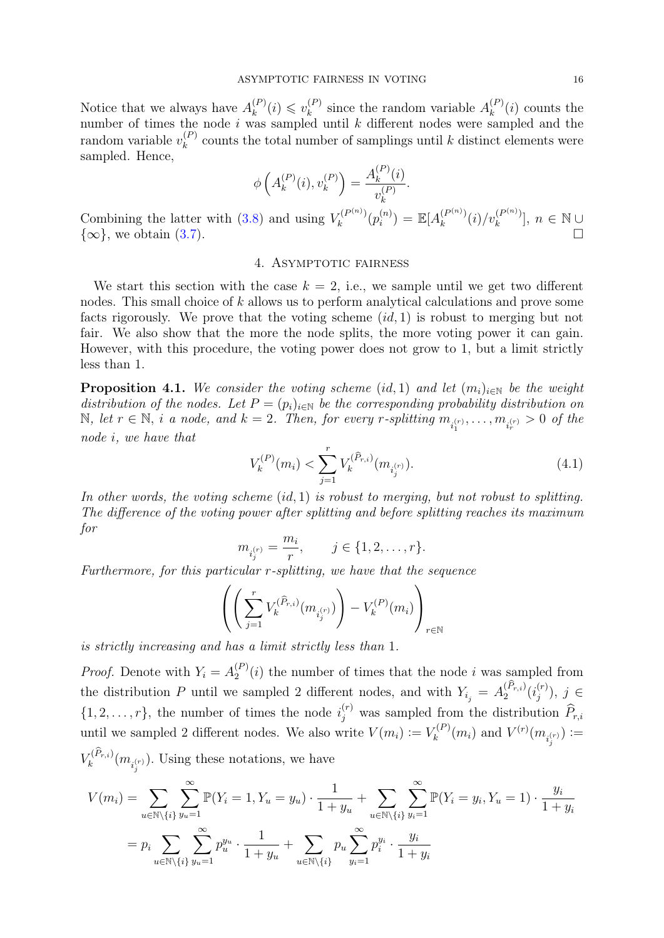Notice that we always have  $A_k^{(P)}$  $\binom{P}{k}(i) \leq v_k^{(P)}$  $\binom{P}{k}$  since the random variable  $A_k^{(P)}$  $\binom{F}{k}(i)$  counts the number of times the node  $i$  was sampled until  $k$  different nodes were sampled and the random variable  $v_k^{(P)}$  $k<sup>(F)</sup>$  counts the total number of samplings until k distinct elements were sampled. Hence,

$$
\phi\left(A_k^{(P)}(i), v_k^{(P)}\right) = \frac{A_k^{(P)}(i)}{v_k^{(P)}}.
$$

Combining the latter with  $(3.8)$  and using  $V_k^{(P^{(n)})}$  $\tilde{h}_k^{(P^{(n)})}(p_i^{(n)})$  $\mathbb{E}[A_k^{(P^{(n)})}]$  $\binom{(P^{(n)})}{k} (i) / v_k^{(P^{(n)})}$  $\binom{(P^{(n)})}{k}, n \in \mathbb{N} \cup$  $\{\infty\}$ , we obtain [\(3.7\)](#page-14-2).

## 4. ASYMPTOTIC FAIRNESS

<span id="page-15-1"></span>We start this section with the case  $k = 2$ , i.e., we sample until we get two different nodes. This small choice of k allows us to perform analytical calculations and prove some facts rigorously. We prove that the voting scheme  $(id, 1)$  is robust to merging but not fair. We also show that the more the node splits, the more voting power it can gain. However, with this procedure, the voting power does not grow to 1, but a limit strictly less than 1.

<span id="page-15-0"></span>**Proposition 4.1.** We consider the voting scheme (id, 1) and let  $(m_i)_{i\in\mathbb{N}}$  be the weight distribution of the nodes. Let  $P = (p_i)_{i \in \mathbb{N}}$  be the corresponding probability distribution on  $\mathbb{N}, \text{ let } r \in \mathbb{N}, \text{ i a node, and } k = 2. \text{ Then, for every } r\text{-splitting } m_{i_1^{(r)}}, \ldots, m_{i_r^{(r)}} > 0 \text{ of the } r$ node i, we have that

$$
V_k^{(P)}(m_i) < \sum_{j=1}^r V_k^{(\hat{P}_{r,i})}(m_{i_j^{(r)}}). \tag{4.1}
$$

In other words, the voting scheme  $(id, 1)$  is robust to merging, but not robust to splitting. The difference of the voting power after splitting and before splitting reaches its maximum for

$$
m_{i_j^{(r)}} = \frac{m_i}{r}, \qquad j \in \{1, 2, \dots, r\}.
$$

Furthermore, for this particular r-splitting, we have that the sequence

$$
\left(\left(\sum_{j=1}^rV^{(\widehat{P}_{r,i})}_{k}(m_{i_j^{(r)}})\right)-V^{(P)}_{k}(m_i)\right)_{r\in\mathbb{N}}
$$

is strictly increasing and has a limit strictly less than 1.

*Proof.* Denote with  $Y_i = A_2^{(P)}$  $2^{(P)}(i)$  the number of times that the node i was sampled from the distribution P until we sampled 2 different nodes, and with  $Y_{i_j} = A_2^{(P_{r,i})}(i_j^{(r)})$  $j^{(r)}$ ),  $j \in$  $\{1, 2, \ldots, r\}$ , the number of times the node  $i_j^{(r)}$  was sampled from the distribution  $\widehat{P}_{r,i}$ until we sampled 2 different nodes. We also write  $V(m_i) := V_k^{(P)}$  $V_k^{(P)}(m_i)$  and  $V^{(r)}(m_{i_j^{(r)}}) :=$  $V_k^{(P_{r,i})}(m_{i_j^{(r)}})$ . Using these notations, we have

$$
V(m_i) = \sum_{u \in \mathbb{N} \setminus \{i\}} \sum_{y_u=1}^{\infty} \mathbb{P}(Y_i = 1, Y_u = y_u) \cdot \frac{1}{1 + y_u} + \sum_{u \in \mathbb{N} \setminus \{i\}} \sum_{y_i=1}^{\infty} \mathbb{P}(Y_i = y_i, Y_u = 1) \cdot \frac{y_i}{1 + y_i}
$$
  
= 
$$
p_i \sum_{u \in \mathbb{N} \setminus \{i\}} \sum_{y_u=1}^{\infty} p_u^{y_u} \cdot \frac{1}{1 + y_u} + \sum_{u \in \mathbb{N} \setminus \{i\}} p_u \sum_{y_i=1}^{\infty} p_i^{y_i} \cdot \frac{y_i}{1 + y_i}
$$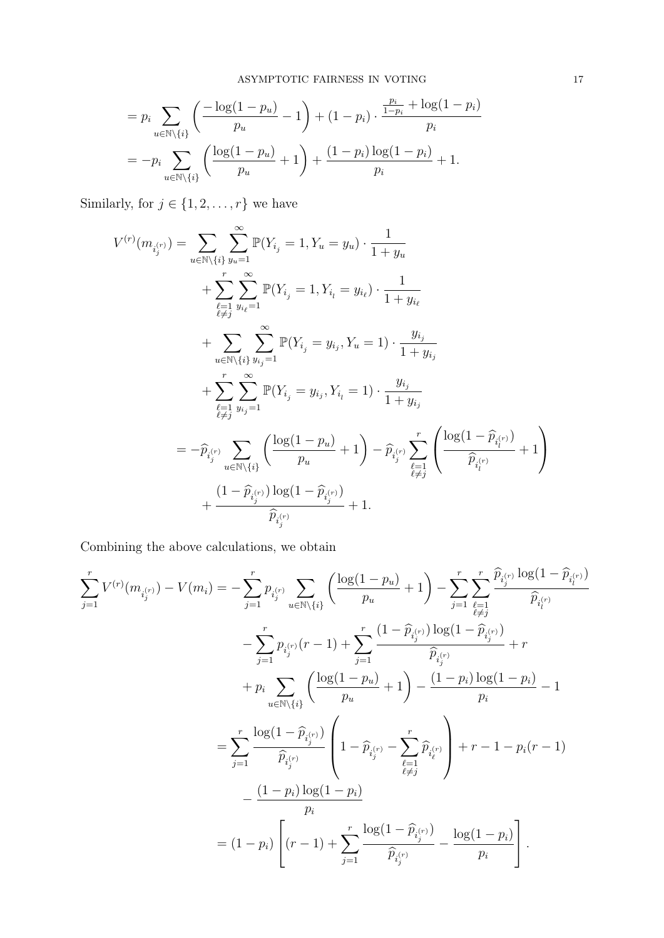$$
= p_i \sum_{u \in \mathbb{N} \setminus \{i\}} \left( \frac{-\log(1 - p_u)}{p_u} - 1 \right) + (1 - p_i) \cdot \frac{\frac{p_i}{1 - p_i} + \log(1 - p_i)}{p_i}
$$
  
= 
$$
-p_i \sum_{u \in \mathbb{N} \setminus \{i\}} \left( \frac{\log(1 - p_u)}{p_u} + 1 \right) + \frac{(1 - p_i) \log(1 - p_i)}{p_i} + 1.
$$

Similarly, for  $j \in \{1, 2, \ldots, r\}$  we have

$$
V^{(r)}(m_{i_j^{(r)}}) = \sum_{u \in \mathbb{N}\setminus\{i\}} \sum_{y_u=1}^{\infty} \mathbb{P}(Y_{i_j} = 1, Y_u = y_u) \cdot \frac{1}{1 + y_u}
$$
  
+ 
$$
\sum_{\substack{\ell=1 \\ \ell \neq j}}^r \sum_{y_{i_\ell}=1}^{\infty} \mathbb{P}(Y_{i_j} = 1, Y_{i_l} = y_{i_\ell}) \cdot \frac{1}{1 + y_{i_\ell}}
$$
  
+ 
$$
\sum_{u \in \mathbb{N}\setminus\{i\}} \sum_{y_{i_j}=1}^{\infty} \mathbb{P}(Y_{i_j} = y_{i_j}, Y_u = 1) \cdot \frac{y_{i_j}}{1 + y_{i_j}}
$$
  
+ 
$$
\sum_{\substack{\ell=1 \\ \ell \neq j}}^r \sum_{y_{i_j}=1}^{\infty} \mathbb{P}(Y_{i_j} = y_{i_j}, Y_{i_l} = 1) \cdot \frac{y_{i_j}}{1 + y_{i_j}}
$$
  
= 
$$
-\hat{p}_{i_j^{(r)}} \sum_{u \in \mathbb{N}\setminus\{i\}} \left( \frac{\log(1 - p_u)}{p_u} + 1 \right) - \hat{p}_{i_j^{(r)}} \sum_{\substack{\ell=1 \\ \ell \neq j}}^r \left( \frac{\log(1 - \hat{p}_{i_l^{(r)}})}{\hat{p}_{i_l^{(r)}}} + 1 \right)
$$
  
+ 
$$
\frac{(1 - \hat{p}_{i_j^{(r)}}) \log(1 - \hat{p}_{i_j^{(r)}})}{\hat{p}_{i_j^{(r)}}} + 1.
$$

Combining the above calculations, we obtain

$$
\sum_{j=1}^{r} V^{(r)}(m_{i_j^{(r)}}) - V(m_i) = -\sum_{j=1}^{r} p_{i_j^{(r)}} \sum_{u \in \mathbb{N} \setminus \{i\}} \left( \frac{\log(1 - p_u)}{p_u} + 1 \right) - \sum_{j=1}^{r} \sum_{\substack{\ell=1 \\ \ell \neq j}}^{r} \frac{\widehat{p}_{i_j^{(r)}} \log(1 - \widehat{p}_{i_j^{(r)}})}{\widehat{p}_{i_j^{(r)}}}
$$

$$
- \sum_{j=1}^{r} p_{i_j^{(r)}}(r - 1) + \sum_{j=1}^{r} \frac{(1 - \widehat{p}_{i_j^{(r)}}) \log(1 - \widehat{p}_{i_j^{(r)}})}{\widehat{p}_{i_j^{(r)}}} + r
$$

$$
+ p_i \sum_{u \in \mathbb{N} \setminus \{i\}} \left( \frac{\log(1 - p_u)}{p_u} + 1 \right) - \frac{(1 - p_i) \log(1 - p_i)}{p_i} - 1
$$

$$
= \sum_{j=1}^{r} \frac{\log(1 - \widehat{p}_{i_j^{(r)}})}{\widehat{p}_{i_j^{(r)}}} \left( 1 - \widehat{p}_{i_j^{(r)}} - \sum_{\substack{\ell=1 \\ \ell \neq j}}^{r} \widehat{p}_{i_k^{(r)}} \right) + r - 1 - p_i(r - 1)
$$

$$
- \frac{(1 - p_i) \log(1 - p_i)}{p_i}
$$

$$
= (1 - p_i) \left[ (r - 1) + \sum_{j=1}^{r} \frac{\log(1 - \widehat{p}_{i_j^{(r)}})}{\widehat{p}_{i_j^{(r)}}} - \frac{\log(1 - p_i)}{p_i} \right].
$$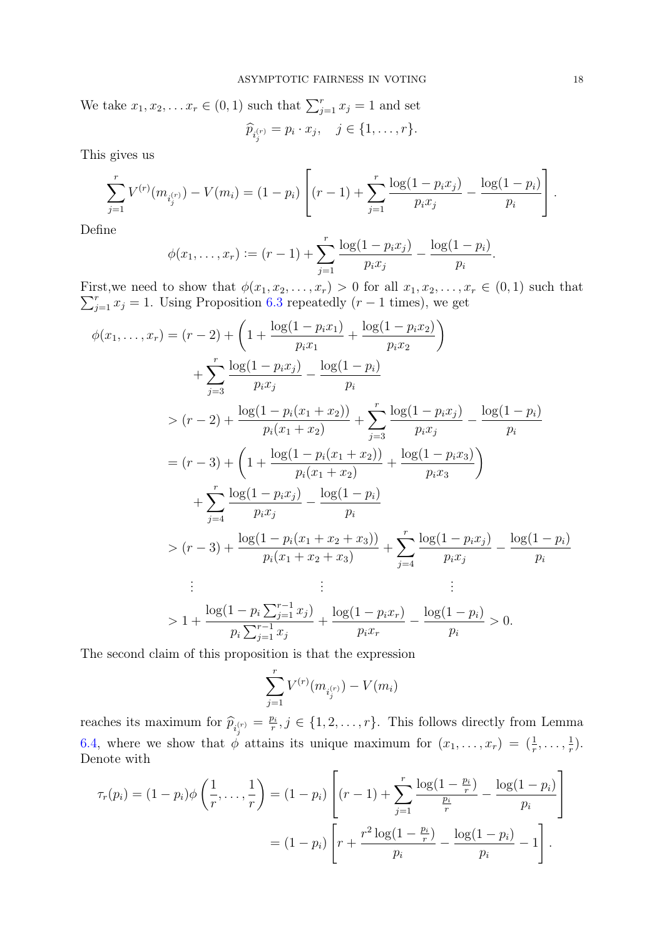We take  $x_1, x_2, \ldots x_r \in (0, 1)$  such that  $\sum_{j=1}^r x_j = 1$  and set  $\widehat{p}_{i_j^{(r)}} = p_i \cdot x_j, \quad j \in \{1, \ldots, r\}.$ 

This gives us

$$
\sum_{j=1}^{r} V^{(r)}(m_{i_j^{(r)}}) - V(m_i) = (1-p_i) \left[ (r-1) + \sum_{j=1}^{r} \frac{\log(1-p_i x_j)}{p_i x_j} - \frac{\log(1-p_i)}{p_i} \right].
$$

Define

$$
\phi(x_1,\ldots,x_r) := (r-1) + \sum_{j=1}^r \frac{\log(1-p_i x_j)}{p_i x_j} - \frac{\log(1-p_i)}{p_i}.
$$

 $\sum_{j=1}^{r} x_j = 1$ . Using Proposition [6.3](#page-28-0) repeatedly  $(r-1)$  times), we get First, we need to show that  $\phi(x_1, x_2, \ldots, x_r) > 0$  for all  $x_1, x_2, \ldots, x_r \in (0, 1)$  such that

$$
\phi(x_1, \ldots, x_r) = (r - 2) + \left(1 + \frac{\log(1 - p_i x_1)}{p_i x_1} + \frac{\log(1 - p_i x_2)}{p_i x_2}\right)
$$
  
+ 
$$
\sum_{j=3}^r \frac{\log(1 - p_i x_j)}{p_i x_j} - \frac{\log(1 - p_i)}{p_i}
$$
  
> 
$$
(r - 2) + \frac{\log(1 - p_i (x_1 + x_2))}{p_i (x_1 + x_2)} + \sum_{j=3}^r \frac{\log(1 - p_i x_j)}{p_i x_j} - \frac{\log(1 - p_i)}{p_i}
$$
  
= 
$$
(r - 3) + \left(1 + \frac{\log(1 - p_i (x_1 + x_2))}{p_i (x_1 + x_2)} + \frac{\log(1 - p_i x_3)}{p_i x_3}\right)
$$
  
+ 
$$
\sum_{j=4}^r \frac{\log(1 - p_i x_j)}{p_i x_j} - \frac{\log(1 - p_i)}{p_i}
$$
  
> 
$$
(r - 3) + \frac{\log(1 - p_i (x_1 + x_2 + x_3))}{p_i (x_1 + x_2 + x_3)} + \sum_{j=4}^r \frac{\log(1 - p_i x_j)}{p_i x_j} - \frac{\log(1 - p_i)}{p_i}
$$
  
: 
$$
\vdots \qquad \vdots \qquad \vdots
$$
  
> 
$$
1 + \frac{\log(1 - p_i \sum_{j=1}^{r-1} x_j)}{p_i \sum_{j=1}^{r-1} x_j} + \frac{\log(1 - p_i x_r)}{p_i x_r} - \frac{\log(1 - p_i)}{p_i} > 0.
$$

The second claim of this proposition is that the expression

$$
\sum_{j=1}^r V^{(r)}(m_{i_j^{(r)}}) - V(m_i)
$$

reaches its maximum for  $\widehat{p}_{i_j^{(r)}} = \frac{p_i}{r}$  $r_i^{p_i}, j \in \{1, 2, \ldots, r\}$ . This follows directly from Lemma [6.4,](#page-28-1) where we show that  $\phi$  attains its unique maximum for  $(x_1, \ldots, x_r) = (\frac{1}{r}, \ldots, \frac{1}{r})$  $(\frac{1}{r})$ . Denote with

$$
\tau_r(p_i) = (1 - p_i)\phi\left(\frac{1}{r}, \dots, \frac{1}{r}\right) = (1 - p_i) \left[ (r - 1) + \sum_{j=1}^r \frac{\log(1 - \frac{p_i}{r})}{\frac{p_i}{r}} - \frac{\log(1 - p_i)}{p_i} \right]
$$

$$
= (1 - p_i) \left[ r + \frac{r^2 \log(1 - \frac{p_i}{r})}{p_i} - \frac{\log(1 - p_i)}{p_i} - 1 \right].
$$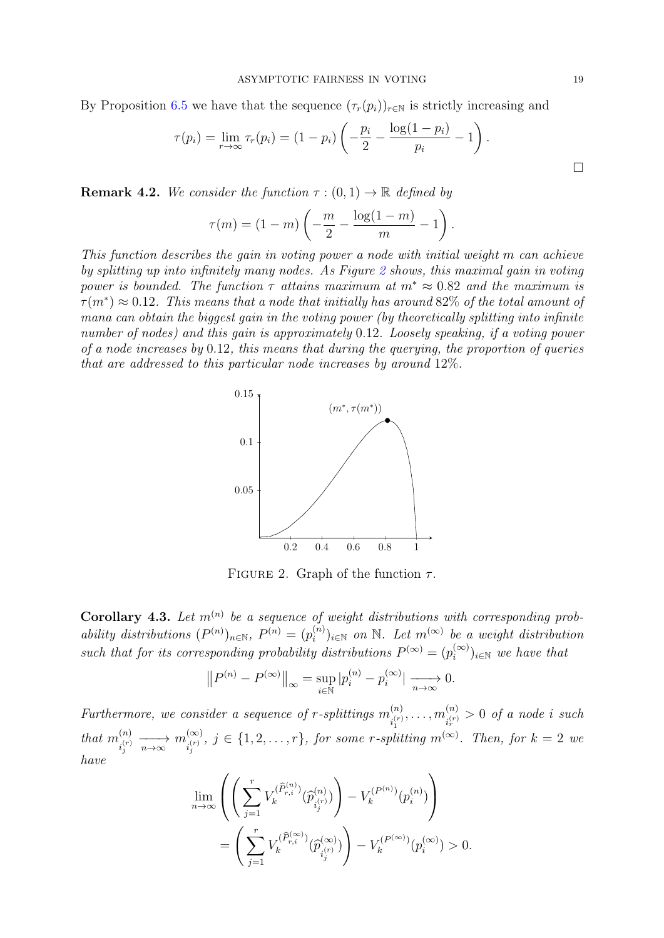By Proposition [6.5](#page-29-0) we have that the sequence  $(\tau_r(p_i))_{r \in \mathbb{N}}$  is strictly increasing and

$$
\tau(p_i) = \lim_{r \to \infty} \tau_r(p_i) = (1 - p_i) \left( -\frac{p_i}{2} - \frac{\log(1 - p_i)}{p_i} - 1 \right).
$$

**Remark 4.2.** We consider the function  $\tau : (0,1) \to \mathbb{R}$  defined by

$$
\tau(m) = (1 - m) \left( -\frac{m}{2} - \frac{\log(1 - m)}{m} - 1 \right).
$$

<span id="page-18-1"></span>This function describes the gain in voting power a node with initial weight m can achieve by splitting up into infinitely many nodes. As Figure [2](#page-18-1) shows, this maximal gain in voting power is bounded. The function  $\tau$  attains maximum at  $m^* \approx 0.82$  and the maximum is  $\tau(m^*) \approx 0.12$ . This means that a node that initially has around 82\% of the total amount of mana can obtain the biggest gain in the voting power (by theoretically splitting into infinite number of nodes) and this gain is approximately 0.12. Loosely speaking, if a voting power of a node increases by 0.12, this means that during the querying, the proportion of queries that are addressed to this particular node increases by around 12%.



FIGURE 2. Graph of the function  $\tau$ .

<span id="page-18-0"></span>**Corollary 4.3.** Let  $m^{(n)}$  be a sequence of weight distributions with corresponding probability distributions  $(P^{(n)})_{n\in\mathbb{N}}$ ,  $P^{(n)} = (p_i^{(n)})$  $\mathcal{L}^{(n)}_{i}$ <sub>i</sub> $\in \mathbb{N}$  on  $\mathbb{N}$ . Let  $m^{(\infty)}$  be a weight distribution such that for its corresponding probability distributions  $P^{(\infty)} = (p_i^{(\infty)})$  $(i^{(\infty)})_{i\in\mathbb{N}}$  we have that

$$
||P^{(n)} - P^{(\infty)}||_{\infty} = \sup_{i \in \mathbb{N}} |p_i^{(n)} - p_i^{(\infty)}| \xrightarrow[n \to \infty]{} 0.
$$

Furthermore, we consider a sequence of r-splittings  $m_{(r)}^{(n)}$  $\hat{m}^{(n)}_{i_1^{(r)}},\ldots, \hat{m}^{(n)}_{i_r^{(r)}}$ 1  $\sum_{i,r}^{(n)}$  > 0 of a node i such that  $m_{\cdot (r)}^{(n)}$  $\sum_{i_j^{(r)}}^{(n)} \xrightarrow[n \to \infty]{n \infty} m_{i_j^{(r)}}^{(\infty)}$  $\sum_{i_j^{(r)}}^{(\infty)}$ ,  $j \in \{1, 2, \ldots, r\}$ , for some r-splitting  $m^{(\infty)}$ . Then, for  $k = 2$  we have

$$
\lim_{n \to \infty} \left( \left( \sum_{j=1}^r V_k^{(\widehat{P}_{r,i}^{(n)})}(\widehat{p}_{i_j^{(r)}}^{(n)}) \right) - V_k^{(P^{(n)})}(p_i^{(n)}) \right)
$$
\n
$$
= \left( \sum_{j=1}^r V_k^{(\widehat{P}_{r,i}^{(\infty)})}(\widehat{p}_{i_j^{(r)}}^{(\infty)}) - V_k^{(P^{(\infty)})}(p_i^{(\infty)}) > 0.
$$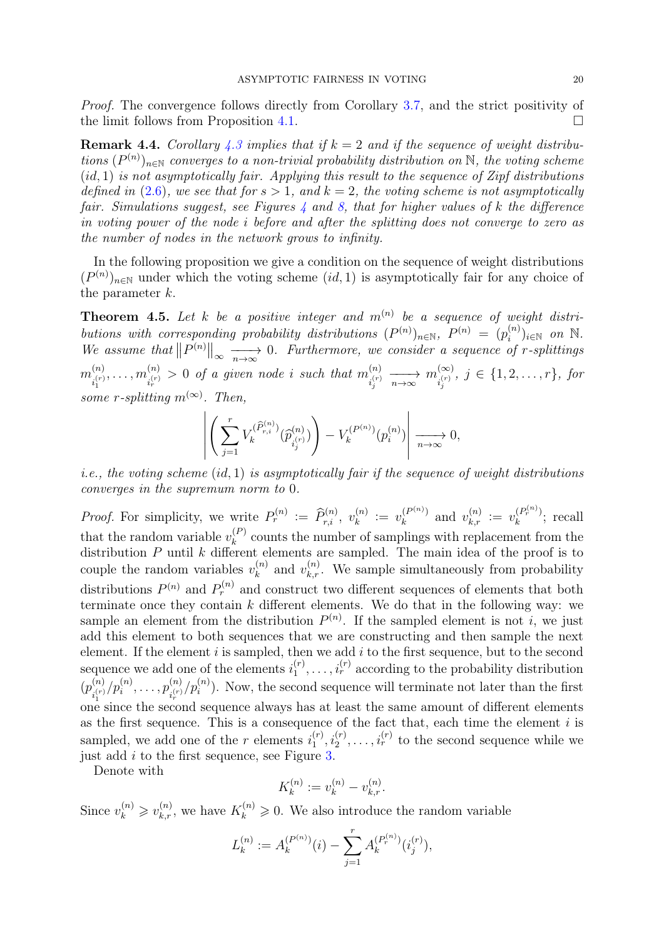Proof. The convergence follows directly from Corollary [3.7,](#page-14-4) and the strict positivity of the limit follows from Proposition [4.1.](#page-15-0)

<span id="page-19-1"></span>**Remark 4.4.** Corollary [4.3](#page-18-0) implies that if  $k = 2$  and if the sequence of weight distributions  $(P^{(n)})_{n\in\mathbb{N}}$  converges to a non-trivial probability distribution on  $\mathbb{N}$ , the voting scheme  $(id, 1)$  is not asymptotically fair. Applying this result to the sequence of Zipf distributions defined in [\(2.6\)](#page-7-3), we see that for  $s > 1$ , and  $k = 2$ , the voting scheme is not asymptotically fair. Simulations suggest, see Figures  $\lambda$  and  $\delta$ , that for higher values of k the difference in voting power of the node i before and after the splitting does not converge to zero as the number of nodes in the network grows to infinity.

In the following proposition we give a condition on the sequence of weight distributions  $(P^{(n)})_{n\in\mathbb{N}}$  under which the voting scheme  $(id, 1)$  is asymptotically fair for any choice of the parameter k.

<span id="page-19-0"></span>**Theorem 4.5.** Let k be a positive integer and  $m^{(n)}$  be a sequence of weight distributions with corresponding probability distributions  $(P^{(n)})_{n\in\mathbb{N}}$ ,  $P^{(n)} = (p_i^{(n)})_{n\in\mathbb{N}}$  $\theta_i^{(n)})_{i\in\mathbb{N}}$  on  $\mathbb{N}.$ We assume that  $||P^{(n)}||_{\infty} \longrightarrow 0$ . Furthermore, we consider a sequence of r-splittings  $m^{(n)}_{\cdot (r)}$  $\binom{n}{i_1^{(r)}},\ldots,m_{i_r^{(r)}}^{(n)}$  $\hat{f}^{(n)}_{i_r^{(r)}} > 0$  of a given node i such that  $m^{(n)}_{i_r^{(r)}}$  $\sum_{i_j^{(r)}}^{(n)} \xrightarrow[n \to \infty]{n \infty} m_{i_j^{(r)}}^{(\infty)}$  $\sum_{i_j^{(r)} , \; j \; \in \; \{ 1, 2, \ldots, r \}, \; for$ some r-splitting  $m^{(\infty)}$ . Then,

$$
\left| \left( \sum_{j=1}^r V_k^{(\widehat{P}_{r,i}^{(n)})} (\widehat{p}_{i_j^{(r)}}^{(n)}) \right) - V_k^{(P^{(n)})} (p_i^{(n)}) \right| \xrightarrow[n \to \infty]{} 0,
$$

*i.e., the voting scheme (id, 1) is asymptotically fair if the sequence of weight distributions* converges in the supremum norm to 0.

*Proof.* For simplicity, we write  $P_r^{(n)} := \widehat{P}_{r,i}^{(n)}, v_k^{(n)}$  $v_k^{(n)} := v_k^{(P^{(n)})}$  $\mathcal{U}_k^{(P^{(n)})}$  and  $v_{k,r}^{(n)} := v_k^{(P_r^{(n)})}$  $\binom{[F_r^{r-1}]}{k}$ ; recall that the random variable  $v_k^{(P)}$  $k<sup>(P)</sup>$  counts the number of samplings with replacement from the distribution  $P$  until  $k$  different elements are sampled. The main idea of the proof is to couple the random variables  $v_k^{(n)}$  $x_k^{(n)}$  and  $v_{k,r}^{(n)}$ . We sample simultaneously from probability distributions  $P^{(n)}$  and  $P^{(n)}_r$  and construct two different sequences of elements that both terminate once they contain  $k$  different elements. We do that in the following way: we sample an element from the distribution  $P^{(n)}$ . If the sampled element is not i, we just add this element to both sequences that we are constructing and then sample the next element. If the element  $i$  is sampled, then we add  $i$  to the first sequence, but to the second sequence we add one of the elements  $i_1^{(r)}$  $i_1^{(r)}, \ldots, i_r^{(r)}$  according to the probability distribution  $(p^{(n)}_{\cdot (r)}$  $\binom{n}{i_1^{(r)}}/p_i^{(n)},\ldots,p_{i_r^{(r)}}^{(n)}$  $\frac{1}{2}$  one since the second sequence always has at least the same amount of different elements  $\binom{n}{i_r^{(r)}}/p_i^{(n)}$ ). Now, the second sequence will terminate not later than the first as the first sequence. This is a consequence of the fact that, each time the element  $i$  is sampled, we add one of the r elements  $i_1^{(r)}$  $i_1^{(r)}, i_2^{(r)}, \ldots, i_r^{(r)}$  to the second sequence while we just add  $i$  to the first sequence, see Figure [3.](#page-20-0)

Denote with

$$
K_k^{(n)} := v_k^{(n)} - v_{k,r}^{(n)}.
$$

Since  $v_k^{(n)} \geq v_{k,r}^{(n)}$ , we have  $K_k^{(n)} \geq 0$ . We also introduce the random variable

$$
L_k^{(n)} := A_k^{(P^{(n)})}(i) - \sum_{j=1}^r A_k^{(P_r^{(n)})}(i_j^{(r)}),
$$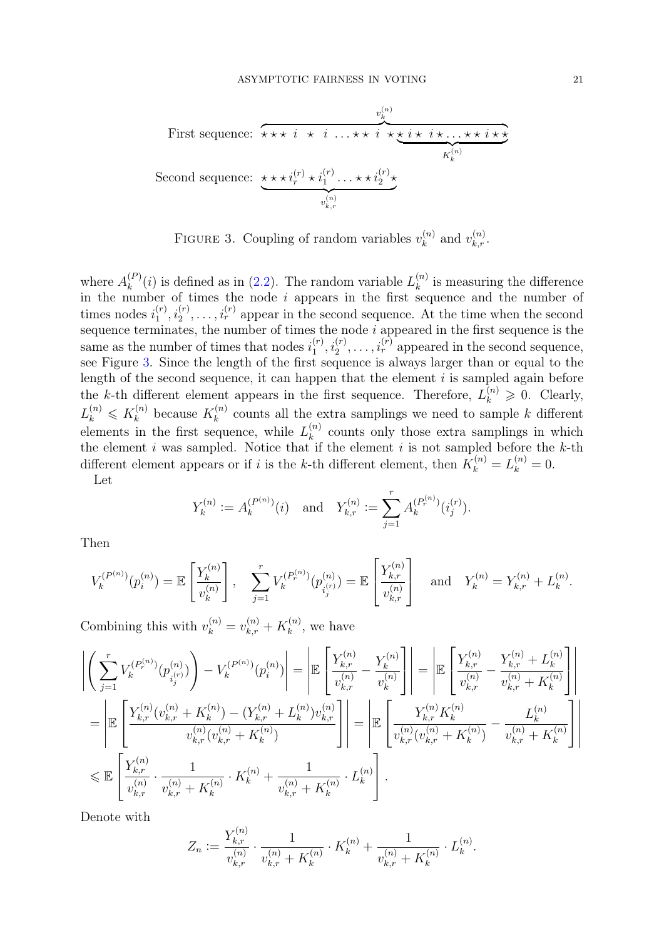<span id="page-20-0"></span>First sequence: v (n) k z }| { ? ? ? i ? i . . . ? ? i ? ? i ? i ? . . . ? ? i ? ? | {z } K (n) k Second sequence: ? ? ? i(r) r ? i(r) 1 . . . ? ? i(r) 2 ? | {z } v (n) k,r

FIGURE 3. Coupling of random variables  $v_k^{(n)}$  $v_k^{(n)}$  and  $v_{k,r}^{(n)}$ .

where  $A_k^{(P)}$  $\binom{P}{k}(i)$  is defined as in [\(2.2\)](#page-4-1). The random variable  $L_k^{(n)}$  $\binom{n}{k}$  is measuring the difference in the number of times the node  $i$  appears in the first sequence and the number of times nodes  $i_1^{(r)}$  $j_1^{(r)}, i_2^{(r)}, \ldots, i_r^{(r)}$  appear in the second sequence. At the time when the second sequence terminates, the number of times the node  $i$  appeared in the first sequence is the same as the number of times that nodes  $i_1^{(r)}$  $i_1^{(r)}, i_2^{(r)}, \ldots, i_r^{(r)}$  appeared in the second sequence, see Figure [3.](#page-20-0) Since the length of the first sequence is always larger than or equal to the length of the second sequence, it can happen that the element  $i$  is sampled again before the k-th different element appears in the first sequence. Therefore,  $L_k^{(n)} \geq 0$ . Clearly,  $L_k^{(n)} \leqslant K_k^{(n)}$  $k^{(n)}_k$  because  $K_k^{(n)}$  $k_k^{(n)}$  counts all the extra samplings we need to sample k different elements in the first sequence, while  $L_k^{(n)}$  $\binom{n}{k}$  counts only those extra samplings in which the element i was sampled. Notice that if the element i is not sampled before the  $k$ -th different element appears or if i is the k-th different element, then  $K_k^{(n)} = L_k^{(n)} = 0$ .

Let

$$
Y_k^{(n)} := A_k^{(P^{(n)})}(i)
$$
 and  $Y_{k,r}^{(n)} := \sum_{j=1}^r A_k^{(P_r^{(n)})}(i_j^{(r)})$ .

Then

$$
V_k^{(P^{(n)})}(p_i^{(n)}) = \mathbb{E}\left[\frac{Y_k^{(n)}}{v_k^{(n)}}\right], \quad \sum_{j=1}^r V_k^{(P_r^{(n)})}(p_{i_j^{(r)}}^{(n)}) = \mathbb{E}\left[\frac{Y_{k,r}^{(n)}}{v_{k,r}^{(n)}}\right] \quad \text{and} \quad Y_k^{(n)} = Y_{k,r}^{(n)} + L_k^{(n)}.
$$

Combining this with  $v_k^{(n)} = v_{k,r}^{(n)} + K_k^{(n)}$  $k^{(n)}$ , we have

$$
\begin{split}\n\left| \left( \sum_{j=1}^{r} V_{k}^{(P_{r}^{(n)})}(p_{i_{j}}^{(n)}) \right) - V_{k}^{(P_{r}^{(n)})}(p_{i}^{(n)}) \right| &= \left| \mathbb{E} \left[ \frac{Y_{k,r}^{(n)}}{v_{k,r}^{(n)}} - \frac{Y_{k}^{(n)}}{v_{k}^{(n)}} \right] \right| = \left| \mathbb{E} \left[ \frac{Y_{k,r}^{(n)}}{v_{k,r}^{(n)}} - \frac{Y_{k,r}^{(n)} + L_{k}^{(n)}}{v_{k,r}^{(n)}} - \frac{Y_{k,r}^{(n)} + L_{k}^{(n)}}{v_{k,r}^{(n)} + K_{k}^{(n)}} \right] \right| \\
&= \left| \mathbb{E} \left[ \frac{Y_{k,r}^{(n)}(v_{k,r}^{(n)} + K_{k}^{(n)}) - (Y_{k,r}^{(n)} + L_{k}^{(n)})v_{k,r}^{(n)}}{v_{k,r}^{(n)}(v_{k,r}^{(n)} + K_{k}^{(n)})} \right] \right| = \left| \mathbb{E} \left[ \frac{Y_{k,r}^{(n)}K_{k}^{(n)}}{v_{k,r}^{(n)}(v_{k,r}^{(n)} + K_{k}^{(n)})} - \frac{L_{k}^{(n)}}{v_{k,r}^{(n)} + K_{k}^{(n)}} \right] \right| \\
&\leq \mathbb{E} \left[ \frac{Y_{k,r}^{(n)}}{v_{k,r}^{(n)}} \cdot \frac{1}{v_{k,r}^{(n)} + K_{k}^{(n)}} \cdot K_{k}^{(n)} + \frac{1}{v_{k,r}^{(n)} + K_{k}^{(n)}} \cdot L_{k}^{(n)} \right].\n\end{split}
$$

Denote with

$$
Z_n := \frac{Y_{k,r}^{(n)}}{v_{k,r}^{(n)}} \cdot \frac{1}{v_{k,r}^{(n)} + K_k^{(n)}} \cdot K_k^{(n)} + \frac{1}{v_{k,r}^{(n)} + K_k^{(n)}} \cdot L_k^{(n)}.
$$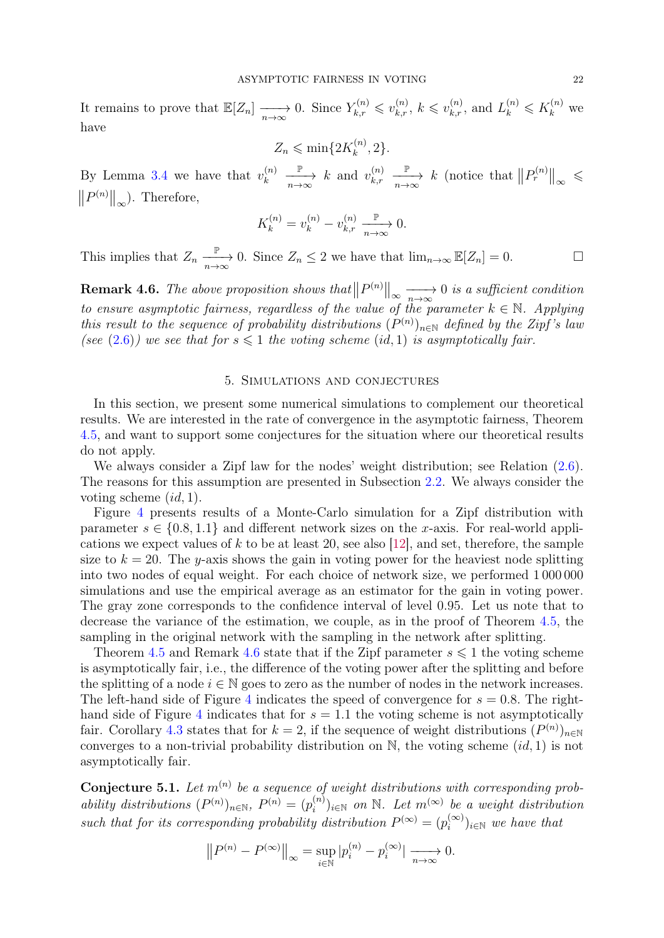It remains to prove that  $\mathbb{E}[Z_n] \longrightarrow 0$ . Since  $Y_{k,r}^{(n)} \leq v_{k,r}^{(n)}$ ,  $k \leq v_{k,r}^{(n)}$ , and  $L_k^{(n)} \leq K_k^{(n)}$  we have

$$
Z_n \leqslant \min\{2K_k^{(n)}, 2\}.
$$

By Lemma [3.4](#page-10-0) we have that  $v_k^{(n)}$ k  $\frac{\mathbb{P}}{n \to \infty}$  k and  $v_{k,r}^{(n)}$  $_{k,r}$  $\frac{P}{n\rightarrow\infty}$  *k* (notice that  $||P_r^{(n)}||_{\infty}$  ≤  $||P^{(n)}||_{\infty}$ ). Therefore,

$$
K_k^{(n)} = v_k^{(n)} - v_{k,r}^{(n)} \xrightarrow[n \to \infty]{\mathbb{P}} 0.
$$

This implies that  $Z_n \xrightarrow[n \to \infty]{} 0$ . Since  $Z_n \leq 2$  we have that  $\lim_{n \to \infty} \mathbb{E}[Z_n] = 0$ .

<span id="page-21-1"></span>**Remark 4.6.** The above proposition shows that  $||P^{(n)}||_{\infty} \longrightarrow 0$  is a sufficient condition to ensure asymptotic fairness, regardless of the value of the parameter  $k \in \mathbb{N}$ . Applying this result to the sequence of probability distributions  $(P^{(n)})_{n\in\mathbb{N}}$  defined by the Zipf's law (see [\(2.6\)](#page-7-3)) we see that for  $s \leq 1$  the voting scheme (id, 1) is asymptotically fair.

#### 5. Simulations and conjectures

<span id="page-21-0"></span>In this section, we present some numerical simulations to complement our theoretical results. We are interested in the rate of convergence in the asymptotic fairness, Theorem [4.5,](#page-19-0) and want to support some conjectures for the situation where our theoretical results do not apply.

We always consider a Zipf law for the nodes' weight distribution; see Relation [\(2.6\)](#page-7-3). The reasons for this assumption are presented in Subsection [2.2.](#page-6-1) We always consider the voting scheme  $(id, 1)$ .

Figure [4](#page-22-0) presents results of a Monte-Carlo simulation for a Zipf distribution with parameter  $s \in \{0.8, 1.1\}$  and different network sizes on the x-axis. For real-world applications we expect values of  $k$  to be at least 20, see also [\[12\]](#page-30-7), and set, therefore, the sample size to  $k = 20$ . The y-axis shows the gain in voting power for the heaviest node splitting into two nodes of equal weight. For each choice of network size, we performed 1 000 000 simulations and use the empirical average as an estimator for the gain in voting power. The gray zone corresponds to the confidence interval of level 0.95. Let us note that to decrease the variance of the estimation, we couple, as in the proof of Theorem [4.5,](#page-19-0) the sampling in the original network with the sampling in the network after splitting.

Theorem [4.5](#page-19-0) and Remark [4.6](#page-21-1) state that if the Zipf parameter  $s \leq 1$  the voting scheme is asymptotically fair, i.e., the difference of the voting power after the splitting and before the splitting of a node  $i \in \mathbb{N}$  goes to zero as the number of nodes in the network increases. The left-hand side of Figure [4](#page-22-0) indicates the speed of convergence for  $s = 0.8$ . The right-hand side of Figure [4](#page-22-0) indicates that for  $s = 1.1$  the voting scheme is not asymptotically fair. Corollary [4.3](#page-18-0) states that for  $k = 2$ , if the sequence of weight distributions  $(P^{(n)})_{n \in \mathbb{N}}$ converges to a non-trivial probability distribution on  $\mathbb{N}$ , the voting scheme  $(id, 1)$  is not asymptotically fair.

**Conjecture 5.1.** Let  $m^{(n)}$  be a sequence of weight distributions with corresponding probability distributions  $(P^{(n)})_{n\in\mathbb{N}}$ ,  $P^{(n)} = (p_i^{(n)})$  $\mathcal{L}^{(n)}_{i}$ <sub>i</sub> $\in \mathbb{N}$  on  $\mathbb{N}$ . Let  $m^{(\infty)}$  be a weight distribution such that for its corresponding probability distribution  $P^{(\infty)} = (p_i^{(\infty)})$  $\binom{(\infty)}{i}$ <sub>i∈N</sub> we have that

$$
||P^{(n)} - P^{(\infty)}||_{\infty} = \sup_{i \in \mathbb{N}} |p_i^{(n)} - p_i^{(\infty)}| \xrightarrow[n \to \infty]{} 0.
$$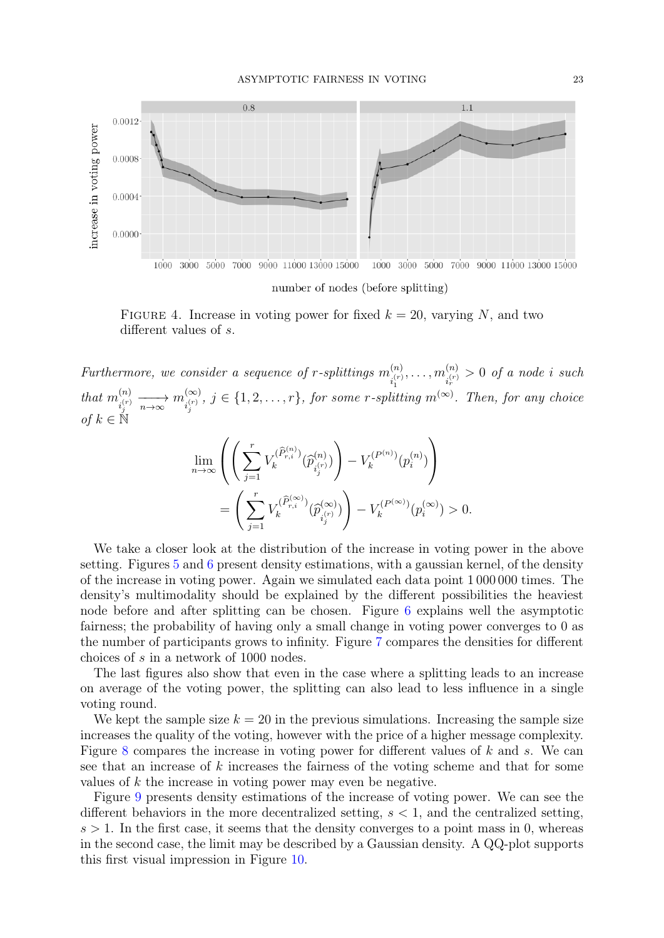<span id="page-22-0"></span>

FIGURE 4. Increase in voting power for fixed  $k = 20$ , varying N, and two different values of s.

Furthermore, we consider a sequence of r-splittings  $m_{(r)}^{(n)}$  $\hat{m}^{(n)}_{i^{(r)}_1},\ldots, \hat{m}^{(n)}_{i^{(r)}_{r}}$ 1  $\sum_{i_r^{(r)}}^{(n)}$  > 0 of a node i such that  $m_{\cdot (r)}^{(n)}$  $\sum_{i_j^{(r)}}^{(n)} \xrightarrow[n \to \infty]{n \infty} m_{i_j^{(r)}}^{(\infty)}$  $\sum_{i_j^{(r)}}^{\infty}$ ,  $j \in \{1, 2, \ldots, r\}$ , for some r-splitting  $m^{(\infty)}$ . Then, for any choice of  $k \in \mathbb{N}$ 

$$
\lim_{n \to \infty} \left( \left( \sum_{j=1}^r V_k^{(\hat{P}_{r,i}^{(n)})}(\hat{p}_{i_j^{(r)}}^{(n)}) \right) - V_k^{(P^{(n)})}(p_i^{(n)}) \right)
$$
\n
$$
= \left( \sum_{j=1}^r V_k^{(\hat{P}_{r,i}^{(\infty)})}(\hat{p}_{i_j^{(r)}}^{(\infty)}) \right) - V_k^{(P^{(\infty)})}(p_i^{(\infty)}) > 0.
$$

We take a closer look at the distribution of the increase in voting power in the above setting. Figures [5](#page-23-0) and [6](#page-23-1) present density estimations, with a gaussian kernel, of the density of the increase in voting power. Again we simulated each data point 1 000 000 times. The density's multimodality should be explained by the different possibilities the heaviest node before and after splitting can be chosen. Figure [6](#page-23-1) explains well the asymptotic fairness; the probability of having only a small change in voting power converges to 0 as the number of participants grows to infinity. Figure [7](#page-23-2) compares the densities for different choices of s in a network of 1000 nodes.

The last figures also show that even in the case where a splitting leads to an increase on average of the voting power, the splitting can also lead to less influence in a single voting round.

We kept the sample size  $k = 20$  in the previous simulations. Increasing the sample size increases the quality of the voting, however with the price of a higher message complexity. Figure [8](#page-24-0) compares the increase in voting power for different values of k and s. We can see that an increase of k increases the fairness of the voting scheme and that for some values of k the increase in voting power may even be negative.

Figure [9](#page-24-1) presents density estimations of the increase of voting power. We can see the different behaviors in the more decentralized setting,  $s < 1$ , and the centralized setting,  $s > 1$ . In the first case, it seems that the density converges to a point mass in 0, whereas in the second case, the limit may be described by a Gaussian density. A QQ-plot supports this first visual impression in Figure [10.](#page-25-0)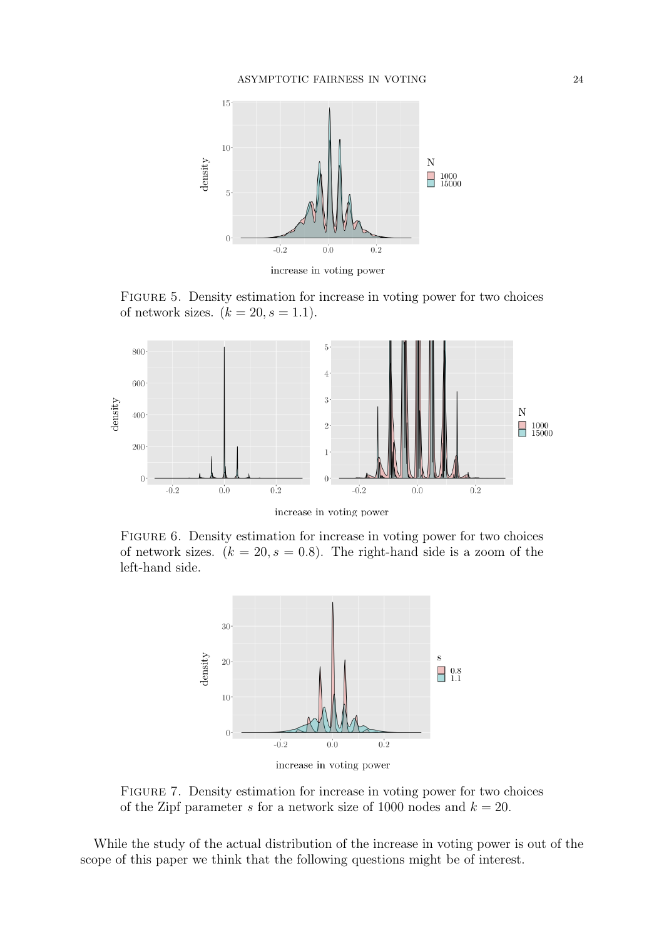<span id="page-23-0"></span>

increase in voting power

FIGURE 5. Density estimation for increase in voting power for two choices of network sizes.  $(k = 20, s = 1.1)$ .

<span id="page-23-1"></span>

increase in voting power

<span id="page-23-2"></span>FIGURE 6. Density estimation for increase in voting power for two choices of network sizes.  $(k = 20, s = 0.8)$ . The right-hand side is a zoom of the left-hand side.



increase in voting power

Figure 7. Density estimation for increase in voting power for two choices of the Zipf parameter s for a network size of 1000 nodes and  $k = 20$ .

While the study of the actual distribution of the increase in voting power is out of the scope of this paper we think that the following questions might be of interest.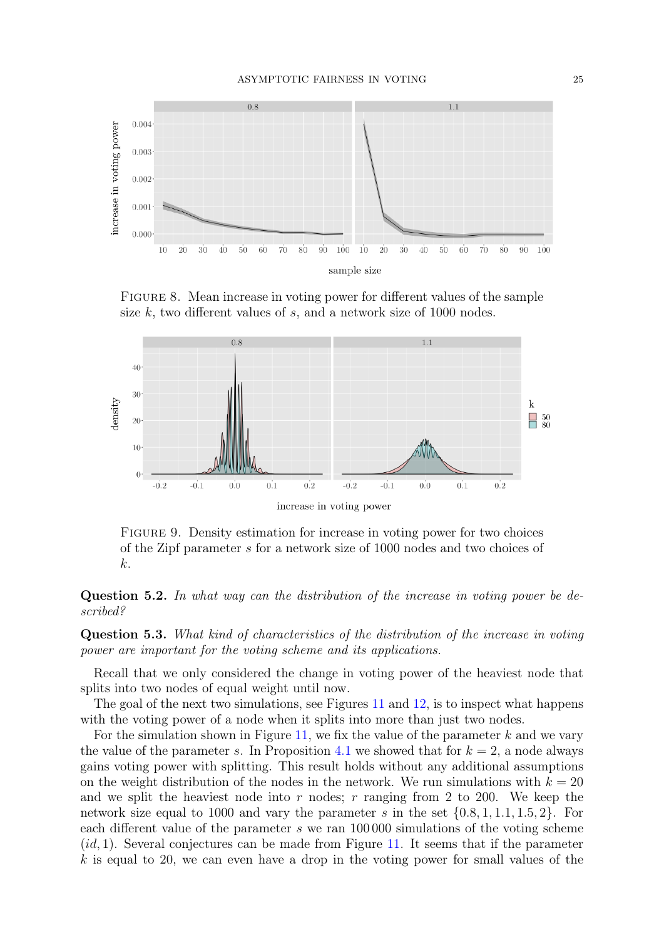<span id="page-24-0"></span>

FIGURE 8. Mean increase in voting power for different values of the sample size  $k$ , two different values of  $s$ , and a network size of 1000 nodes.

<span id="page-24-1"></span>

Figure 9. Density estimation for increase in voting power for two choices of the Zipf parameter s for a network size of 1000 nodes and two choices of k.

Question 5.2. In what way can the distribution of the increase in voting power be described?

Question 5.3. What kind of characteristics of the distribution of the increase in voting power are important for the voting scheme and its applications.

Recall that we only considered the change in voting power of the heaviest node that splits into two nodes of equal weight until now.

The goal of the next two simulations, see Figures [11](#page-25-1) and [12,](#page-26-0) is to inspect what happens with the voting power of a node when it splits into more than just two nodes.

For the simulation shown in Figure [11,](#page-25-1) we fix the value of the parameter  $k$  and we vary the value of the parameter s. In Proposition [4.1](#page-15-0) we showed that for  $k = 2$ , a node always gains voting power with splitting. This result holds without any additional assumptions on the weight distribution of the nodes in the network. We run simulations with  $k = 20$ and we split the heaviest node into r nodes; r ranging from 2 to 200. We keep the network size equal to 1000 and vary the parameter s in the set  $\{0.8, 1, 1.1, 1.5, 2\}$ . For each different value of the parameter s we ran  $100000$  simulations of the voting scheme  $(id, 1)$ . Several conjectures can be made from Figure [11.](#page-25-1) It seems that if the parameter  $k$  is equal to 20, we can even have a drop in the voting power for small values of the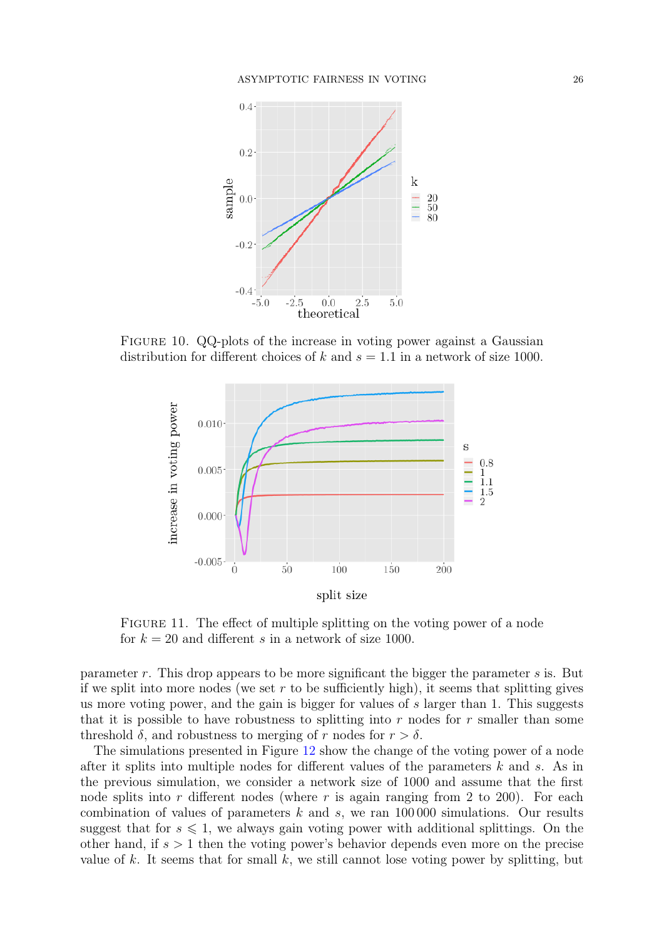<span id="page-25-0"></span>

<span id="page-25-1"></span>FIGURE 10. QQ-plots of the increase in voting power against a Gaussian distribution for different choices of k and  $s = 1.1$  in a network of size 1000.



FIGURE 11. The effect of multiple splitting on the voting power of a node for  $k = 20$  and different s in a network of size 1000.

parameter r. This drop appears to be more significant the bigger the parameter s is. But if we split into more nodes (we set  $r$  to be sufficiently high), it seems that splitting gives us more voting power, and the gain is bigger for values of  $s$  larger than 1. This suggests that it is possible to have robustness to splitting into r nodes for r smaller than some threshold  $\delta$ , and robustness to merging of r nodes for  $r > \delta$ .

The simulations presented in Figure [12](#page-26-0) show the change of the voting power of a node after it splits into multiple nodes for different values of the parameters k and s. As in the previous simulation, we consider a network size of 1000 and assume that the first node splits into r different nodes (where r is again ranging from 2 to 200). For each combination of values of parameters  $k$  and  $s$ , we ran 100 000 simulations. Our results suggest that for  $s \leq 1$ , we always gain voting power with additional splittings. On the other hand, if  $s > 1$  then the voting power's behavior depends even more on the precise value of k. It seems that for small k, we still cannot lose voting power by splitting, but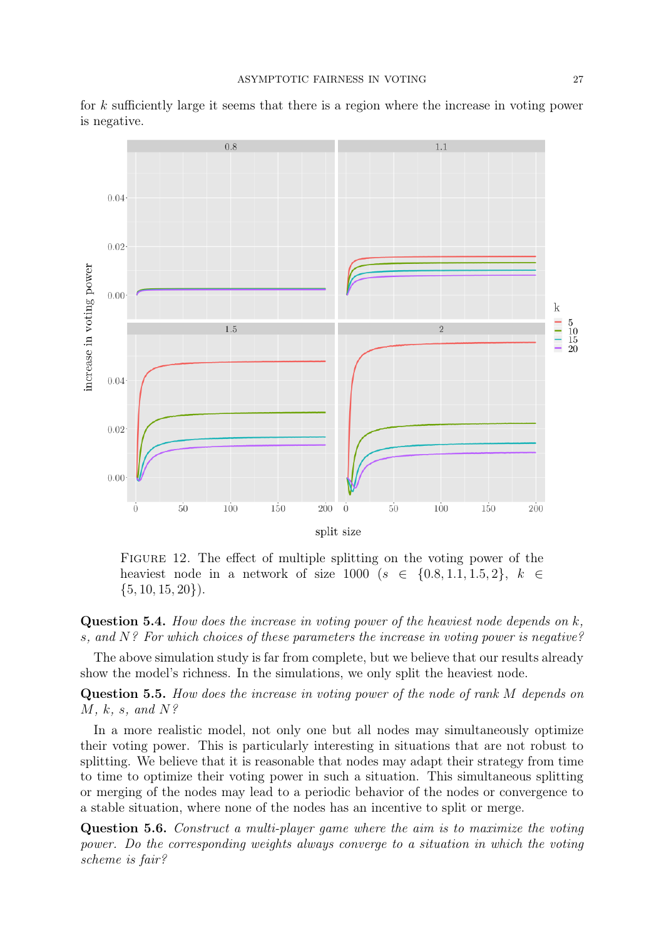<span id="page-26-0"></span>

for k sufficiently large it seems that there is a region where the increase in voting power is negative.

FIGURE 12. The effect of multiple splitting on the voting power of the heaviest node in a network of size 1000 ( $s \in \{0.8, 1.1, 1.5, 2\}, k \in$  $\{5, 10, 15, 20\}.$ 

**Question 5.4.** How does the increase in voting power of the heaviest node depends on  $k$ , s, and  $N$ ? For which choices of these parameters the increase in voting power is negative?

The above simulation study is far from complete, but we believe that our results already show the model's richness. In the simulations, we only split the heaviest node.

Question 5.5. How does the increase in voting power of the node of rank M depends on  $M, k, s, and N?$ 

In a more realistic model, not only one but all nodes may simultaneously optimize their voting power. This is particularly interesting in situations that are not robust to splitting. We believe that it is reasonable that nodes may adapt their strategy from time to time to optimize their voting power in such a situation. This simultaneous splitting or merging of the nodes may lead to a periodic behavior of the nodes or convergence to a stable situation, where none of the nodes has an incentive to split or merge.

Question 5.6. Construct a multi-player game where the aim is to maximize the voting power. Do the corresponding weights always converge to a situation in which the voting scheme is fair?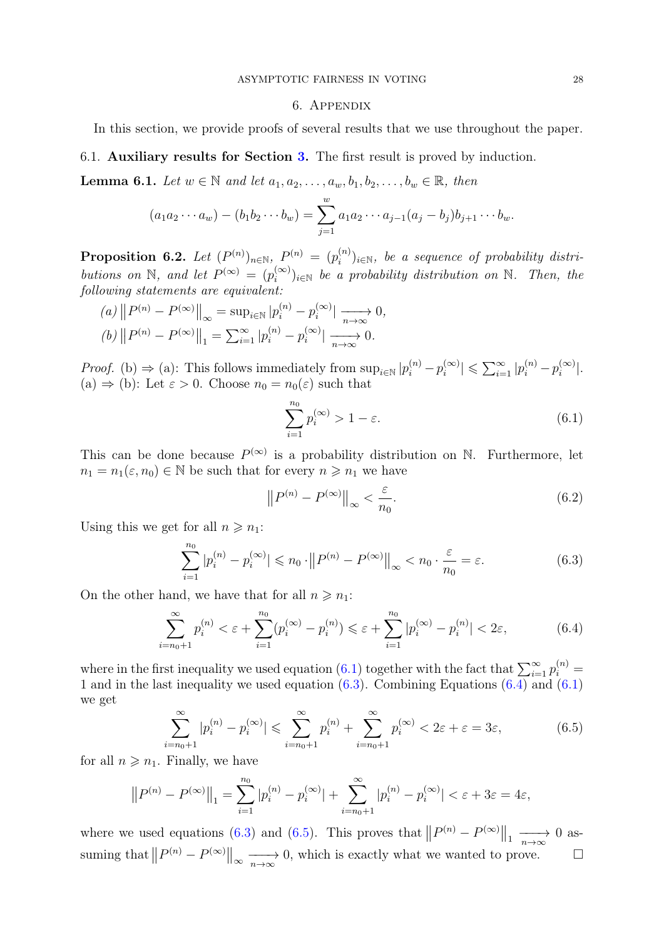### 6. Appendix

<span id="page-27-0"></span>In this section, we provide proofs of several results that we use throughout the paper.

6.1. Auxiliary results for Section [3.](#page-7-1) The first result is proved by induction.

<span id="page-27-2"></span>**Lemma 6.1.** Let  $w \in \mathbb{N}$  and let  $a_1, a_2, \ldots, a_w, b_1, b_2, \ldots, b_w \in \mathbb{R}$ , then

$$
(a_1 a_2 \cdots a_w) - (b_1 b_2 \cdots b_w) = \sum_{j=1}^w a_1 a_2 \cdots a_{j-1} (a_j - b_j) b_{j+1} \cdots b_w.
$$

<span id="page-27-1"></span>Proposition 6.2. Let  $(P^{(n)})_{n\in\mathbb{N}},\ P^{(n)}\ =\ (p_i^{(n)})$  $i_i^{(n)}$ <sub>i</sub> $\in \mathbb{N}$ , be a sequence of probability distributions on N, and let  $P^{(\infty)} = (p_i^{(\infty)})$  $\binom{(\infty)}{i}$ <sub>i</sub>∈N be a probability distribution on N. Then, the following statements are equivalent:

(a) 
$$
||P^{(n)} - P^{(\infty)}||_{\infty} = \sup_{i \in \mathbb{N}} |p_i^{(n)} - p_i^{(\infty)}| \xrightarrow[n \to \infty]{} 0,
$$
  
(b)  $||P^{(n)} - P^{(\infty)}||_1 = \sum_{i=1}^{\infty} |p_i^{(n)} - p_i^{(\infty)}| \xrightarrow[n \to \infty]{} 0.$ 

*Proof.* (b)  $\Rightarrow$  (a): This follows immediately from  $\sup_{i \in \mathbb{N}} |p_i^{(n)} - p_i^{(\infty)}|$  $|p_i^{(\infty)}| \leqslant \sum_{i=1}^{\infty} |p_i^{(n)}-p_i^{(\infty)}|$  $\binom{(\infty)}{i}$ . (a)  $\Rightarrow$  (b): Let  $\varepsilon > 0$ . Choose  $n_0 = n_0(\varepsilon)$  such that

<span id="page-27-3"></span>
$$
\sum_{i=1}^{n_0} p_i^{(\infty)} > 1 - \varepsilon. \tag{6.1}
$$

This can be done because  $P^{(\infty)}$  is a probability distribution on N. Furthermore, let  $n_1 = n_1(\varepsilon, n_0) \in \mathbb{N}$  be such that for every  $n \geq n_1$  we have

$$
\left\|P^{(n)} - P^{(\infty)}\right\|_{\infty} < \frac{\varepsilon}{n_0}.\tag{6.2}
$$

Using this we get for all  $n \geq n_1$ :

<span id="page-27-4"></span>
$$
\sum_{i=1}^{n_0} |p_i^{(n)} - p_i^{(\infty)}| \le n_0 \cdot ||P^{(n)} - P^{(\infty)}||_{\infty} < n_0 \cdot \frac{\varepsilon}{n_0} = \varepsilon.
$$
 (6.3)

On the other hand, we have that for all  $n \geq n_1$ :

<span id="page-27-5"></span>
$$
\sum_{i=n_0+1}^{\infty} p_i^{(n)} < \varepsilon + \sum_{i=1}^{n_0} (p_i^{(\infty)} - p_i^{(n)}) \leq \varepsilon + \sum_{i=1}^{n_0} |p_i^{(\infty)} - p_i^{(n)}| < 2\varepsilon,\tag{6.4}
$$

where in the first inequality we used equation [\(6.1\)](#page-27-3) together with the fact that  $\sum_{i=1}^{\infty} p_i^{(n)} =$ 1 and in the last inequality we used equation  $(6.3)$ . Combining Equations  $(6.4)$  and  $(6.1)$ we get

<span id="page-27-6"></span>
$$
\sum_{i=n_0+1}^{\infty} |p_i^{(n)} - p_i^{(\infty)}| \leq \sum_{i=n_0+1}^{\infty} p_i^{(n)} + \sum_{i=n_0+1}^{\infty} p_i^{(\infty)} < 2\varepsilon + \varepsilon = 3\varepsilon,\tag{6.5}
$$

for all  $n \geq n_1$ . Finally, we have

$$
||P^{(n)} - P^{(\infty)}||_1 = \sum_{i=1}^{n_0} |p_i^{(n)} - p_i^{(\infty)}| + \sum_{i=n_0+1}^{\infty} |p_i^{(n)} - p_i^{(\infty)}| < \varepsilon + 3\varepsilon = 4\varepsilon,
$$

where we used equations [\(6.3\)](#page-27-4) and [\(6.5\)](#page-27-6). This proves that  $||P^{(n)} - P^{(\infty)}||_1 \longrightarrow 0$  assuming that  $||P^{(n)} - P^{(\infty)}||_{\infty} \longrightarrow 0$ , which is exactly what we wanted to prove.  $\square$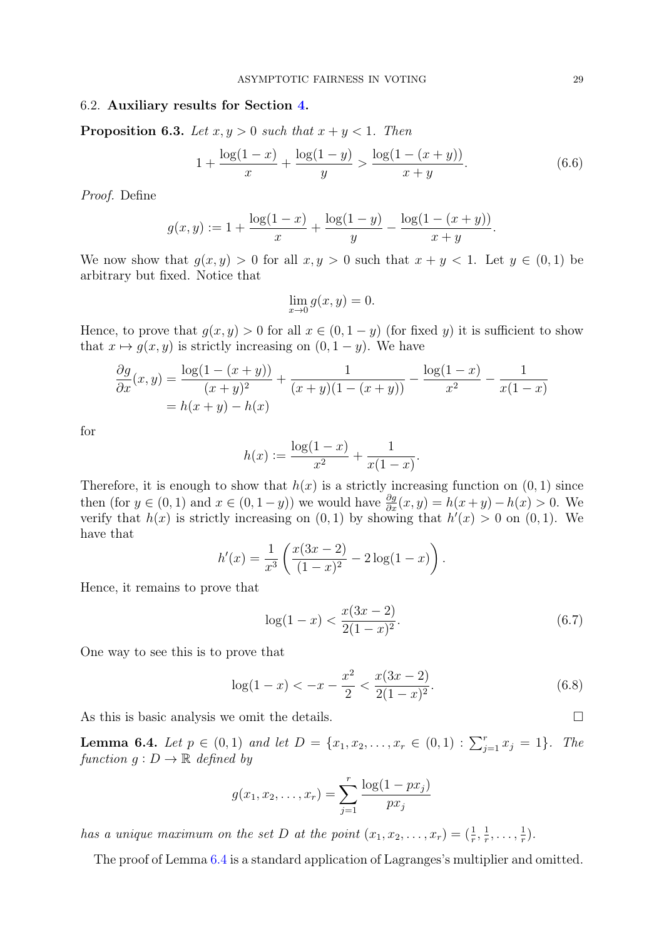## 6.2. Auxiliary results for Section [4.](#page-15-1)

<span id="page-28-0"></span>**Proposition 6.3.** Let  $x, y > 0$  such that  $x + y < 1$ . Then

$$
1 + \frac{\log(1-x)}{x} + \frac{\log(1-y)}{y} > \frac{\log(1 - (x+y))}{x+y}.\tag{6.6}
$$

Proof. Define

$$
g(x,y) := 1 + \frac{\log(1-x)}{x} + \frac{\log(1-y)}{y} - \frac{\log(1-(x+y))}{x+y}.
$$

We now show that  $g(x, y) > 0$  for all  $x, y > 0$  such that  $x + y < 1$ . Let  $y \in (0, 1)$  be arbitrary but fixed. Notice that

$$
\lim_{x \to 0} g(x, y) = 0.
$$

Hence, to prove that  $g(x, y) > 0$  for all  $x \in (0, 1 - y)$  (for fixed y) it is sufficient to show that  $x \mapsto g(x, y)$  is strictly increasing on  $(0, 1 - y)$ . We have

$$
\frac{\partial g}{\partial x}(x,y) = \frac{\log(1 - (x + y))}{(x + y)^2} + \frac{1}{(x + y)(1 - (x + y))} - \frac{\log(1 - x)}{x^2} - \frac{1}{x(1 - x)}
$$

$$
= h(x + y) - h(x)
$$

for

$$
h(x) := \frac{\log(1-x)}{x^2} + \frac{1}{x(1-x)}.
$$

Therefore, it is enough to show that  $h(x)$  is a strictly increasing function on  $(0, 1)$  since then (for  $y \in (0,1)$  and  $x \in (0,1-y)$ ) we would have  $\frac{\partial g}{\partial x}(x,y) = h(x+y) - h(x) > 0$ . We verify that  $h(x)$  is strictly increasing on  $(0, 1)$  by showing that  $h'(x) > 0$  on  $(0, 1)$ . We have that

$$
h'(x) = \frac{1}{x^3} \left( \frac{x(3x-2)}{(1-x)^2} - 2\log(1-x) \right).
$$

Hence, it remains to prove that

<span id="page-28-2"></span>
$$
\log(1-x) < \frac{x(3x-2)}{2(1-x)^2}.\tag{6.7}
$$

One way to see this is to prove that

$$
\log(1-x) < -x - \frac{x^2}{2} < \frac{x(3x-2)}{2(1-x)^2}.\tag{6.8}
$$

As this is basic analysis we omit the details.

<span id="page-28-1"></span>**Lemma 6.4.** Let  $p \in (0,1)$  and let  $D = \{x_1, x_2, \ldots, x_r \in (0,1) : \sum_{j=1}^r x_j = 1\}$ . The function  $g: D \to \mathbb{R}$  defined by

$$
g(x_1, x_2, \dots, x_r) = \sum_{j=1}^r \frac{\log(1 - px_j)}{px_j}
$$

has a unique maximum on the set D at the point  $(x_1, x_2, \ldots, x_r) = (\frac{1}{r}, \frac{1}{r})$  $\frac{1}{r}, \ldots, \frac{1}{r}$  $(\frac{1}{r})$ .

The proof of Lemma [6.4](#page-28-1) is a standard application of Lagranges's multiplier and omitted.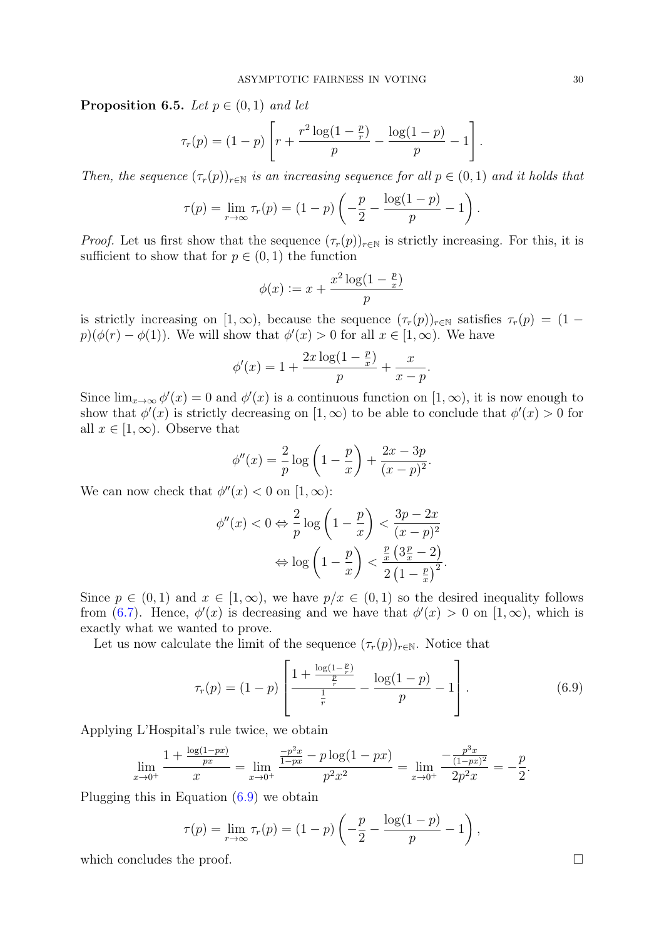<span id="page-29-0"></span>**Proposition 6.5.** Let  $p \in (0,1)$  and let

$$
\tau_r(p) = (1-p) \left[ r + \frac{r^2 \log(1-\frac{p}{r})}{p} - \frac{\log(1-p)}{p} - 1 \right].
$$

Then, the sequence  $(\tau_r(p))_{r \in \mathbb{N}}$  is an increasing sequence for all  $p \in (0,1)$  and it holds that

$$
\tau(p) = \lim_{r \to \infty} \tau_r(p) = (1 - p) \left( -\frac{p}{2} - \frac{\log(1 - p)}{p} - 1 \right).
$$

*Proof.* Let us first show that the sequence  $(\tau_r(p))_{r \in \mathbb{N}}$  is strictly increasing. For this, it is sufficient to show that for  $p \in (0,1)$  the function

$$
\phi(x) := x + \frac{x^2 \log(1 - \frac{p}{x})}{p}
$$

is strictly increasing on  $[1,\infty)$ , because the sequence  $(\tau_r(p))_{r\in\mathbb{N}}$  satisfies  $\tau_r(p) = (1-\tau)^{r-1}$  $p(\phi(r) - \phi(1))$ . We will show that  $\phi'(x) > 0$  for all  $x \in [1, \infty)$ . We have

$$
\phi'(x) = 1 + \frac{2x \log(1 - \frac{p}{x})}{p} + \frac{x}{x - p}.
$$

Since  $\lim_{x\to\infty}\phi'(x)=0$  and  $\phi'(x)$  is a continuous function on  $[1,\infty)$ , it is now enough to show that  $\phi'(x)$  is strictly decreasing on  $[1,\infty)$  to be able to conclude that  $\phi'(x) > 0$  for all  $x \in [1,\infty)$ . Observe that

$$
\phi''(x) = \frac{2}{p} \log \left( 1 - \frac{p}{x} \right) + \frac{2x - 3p}{(x - p)^2}.
$$

We can now check that  $\phi''(x) < 0$  on  $[1, \infty)$ :

$$
\phi''(x) < 0 \Leftrightarrow \frac{2}{p} \log \left( 1 - \frac{p}{x} \right) < \frac{3p - 2x}{(x - p)^2}
$$
\n
$$
\Leftrightarrow \log \left( 1 - \frac{p}{x} \right) < \frac{\frac{p}{x} \left( 3\frac{p}{x} - 2 \right)}{2 \left( 1 - \frac{p}{x} \right)^2}.
$$

Since  $p \in (0,1)$  and  $x \in [1,\infty)$ , we have  $p/x \in (0,1)$  so the desired inequality follows from [\(6.7\)](#page-28-2). Hence,  $\phi'(x)$  is decreasing and we have that  $\phi'(x) > 0$  on  $[1,\infty)$ , which is exactly what we wanted to prove.

Let us now calculate the limit of the sequence  $(\tau_r(p))_{r \in \mathbb{N}}$ . Notice that

<span id="page-29-1"></span>
$$
\tau_r(p) = (1-p) \left[ \frac{1 + \frac{\log(1-p)}{p}}{\frac{1}{r}} - \frac{\log(1-p)}{p} - 1 \right]. \tag{6.9}
$$

Applying L'Hospital's rule twice, we obtain

$$
\lim_{x \to 0^+} \frac{1 + \frac{\log(1 - px)}{px}}{x} = \lim_{x \to 0^+} \frac{\frac{-p^2x}{1 - px} - p \log(1 - px)}{p^2 x^2} = \lim_{x \to 0^+} \frac{-\frac{p^3x}{(1 - px)^2}}{2p^2 x} = -\frac{p}{2}.
$$

Plugging this in Equation [\(6.9\)](#page-29-1) we obtain

$$
\tau(p) = \lim_{r \to \infty} \tau_r(p) = (1 - p) \left( -\frac{p}{2} - \frac{\log(1 - p)}{p} - 1 \right),\,
$$

which concludes the proof.  $\Box$